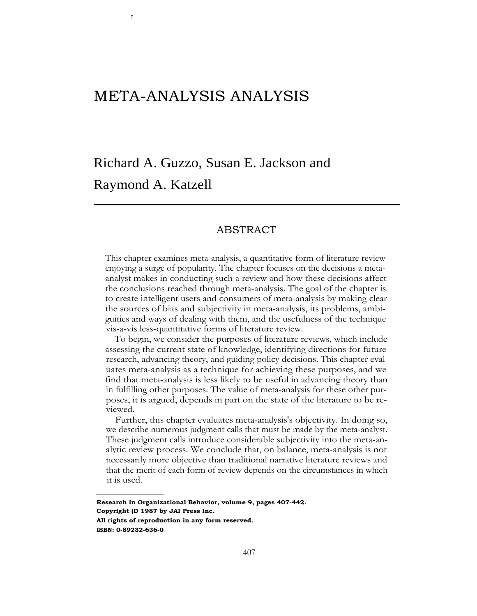## META-ANALYSIS ANALYSIS

I

# Richard A. Guzzo, Susan E. Jackson and Raymond A. Katzell

## ABSTRACT

This chapter examines meta-analysis, a quantitative form of literature review enjoying a surge of popularity. The chapter focuses on the decisions a metaanalyst makes in conducting such a review and how these decisions affect the conclusions reached through meta-analysis. The goal of the chapter is to create intelligent users and consumers of meta-analysis by making clear the sources of bias and subjectivity in meta-analysis, its problems, ambiguities and ways of dealing with them, and the usefulness of the technique vis-a-vis less-quantitative forms of literature review.

To begin, we consider the purposes of literature reviews, which include assessing the current state of knowledge, identifying directions for future research, advancing theory, and guiding policy decisions. This chapter evaluates meta-analysis as a technique for achieving these purposes, and we find that meta-analysis is less likely to be useful in advancing theory than in fulfilling other purposes. The value of meta-analysis for these other purposes, it is argued, depends in part on the state of the literature to be reviewed.

Further, this chapter evaluates meta-analysis's objectivity. In doing so, we describe numerous judgment calls that must be made by the meta-analyst. These judgment calls introduce considerable subjectivity into the meta-analytic review process. We conclude that, on balance, meta-analysis is not necessarily more objective than traditional narrative literature reviews and that the merit of each form of review depends on the circumstances in which it is used.

**Research in Organizational Behavior, volume 9, pages 407-442. Copyright (D 1987 by JAI Press Inc. All rights of reproduction in any form reserved. ISBN: 0-89232-636-0**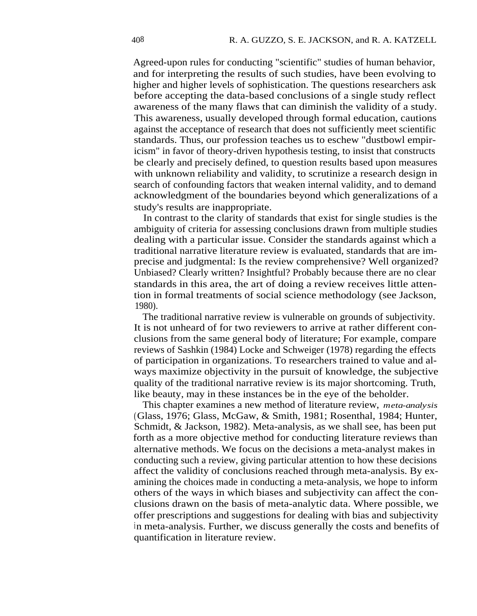Agreed-upon rules for conducting "scientific" studies of human behavior, and for interpreting the results of such studies, have been evolving to higher and higher levels of sophistication. The questions researchers ask before accepting the data-based conclusions of a single study reflect awareness of the many flaws that can diminish the validity of a study. This awareness, usually developed through formal education, cautions against the acceptance of research that does not sufficiently meet scientific standards. Thus, our profession teaches us to eschew "dustbowl empiricism" in favor of theory-driven hypothesis testing, to insist that constructs be clearly and precisely defined, to question results based upon measures with unknown reliability and validity, to scrutinize a research design in search of confounding factors that weaken internal validity, and to demand acknowledgment of the boundaries beyond which generalizations of a study's results are inappropriate.

In contrast to the clarity of standards that exist for single studies is the ambiguity of criteria for assessing conclusions drawn from multiple studies dealing with a particular issue. Consider the standards against which a traditional narrative literature review is evaluated, standards that are imprecise and judgmental: Is the review comprehensive? Well organized? Unbiased? Clearly written? Insightful? Probably because there are no clear standards in this area, the art of doing a review receives little attention in formal treatments of social science methodology (see Jackson, 1980).

The traditional narrative review is vulnerable on grounds of subjectivity. It is not unheard of for two reviewers to arrive at rather different conclusions from the same general body of literature; For example, compare reviews of Sashkin (1984) Locke and Schweiger (1978) regarding the effects of participation in organizations. To researchers trained to value and always maximize objectivity in the pursuit of knowledge, the subjective quality of the traditional narrative review is its major shortcoming. Truth, like beauty, may in these instances be in the eye of the beholder.

This chapter examines a new method of literature review, *meta-analysis* (Glass, 1976; Glass, McGaw, & Smith, 1981; Rosenthal, 1984; Hunter, Schmidt, & Jackson, 1982). Meta-analysis, as we shall see, has been put forth as a more objective method for conducting literature reviews than alternative methods. We focus on the decisions a meta-analyst makes in conducting such a review, giving particular attention to how these decisions affect the validity of conclusions reached through meta-analysis. By examining the choices made in conducting a meta-analysis, we hope to inform others of the ways in which biases and subjectivity can affect the conclusions drawn on the basis of meta-analytic data. Where possible, we offer prescriptions and suggestions for dealing with bias and subjectivity in meta-analysis. Further, we discuss generally the costs and benefits of quantification in literature review.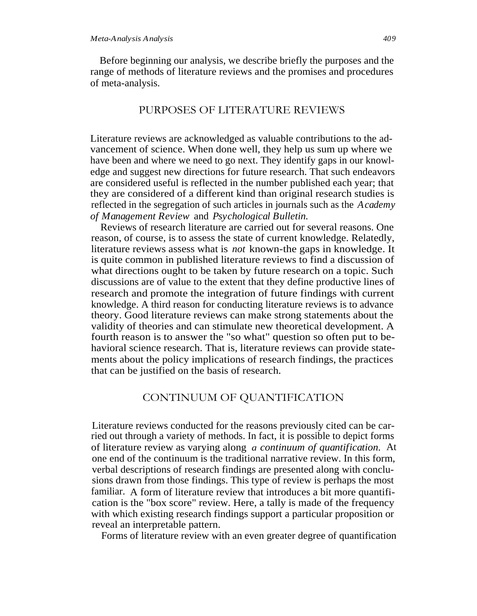Before beginning our analysis, we describe briefly the purposes and the range of methods of literature reviews and the promises and procedures of meta-analysis.

## PURPOSES OF LITERATURE REVIEWS

Literature reviews are acknowledged as valuable contributions to the advancement of science. When done well, they help us sum up where we have been and where we need to go next. They identify gaps in our knowledge and suggest new directions for future research. That such endeavors are considered useful is reflected in the number published each year; that they are considered of a different kind than original research studies is reflected in the segregation of such articles in journals such as the *Academy of Management Review* and *Psychological Bulletin.*

Reviews of research literature are carried out for several reasons. One reason, of course, is to assess the state of current knowledge. Relatedly, literature reviews assess what is *not* known-the gaps in knowledge. It is quite common in published literature reviews to find a discussion of what directions ought to be taken by future research on a topic. Such discussions are of value to the extent that they define productive lines of research and promote the integration of future findings with current knowledge. A third reason for conducting literature reviews is to advance theory. Good literature reviews can make strong statements about the validity of theories and can stimulate new theoretical development. A fourth reason is to answer the "so what" question so often put to behavioral science research. That is, literature reviews can provide statements about the policy implications of research findings, the practices that can be justified on the basis of research.

## CONTINUUM OF QUANTIFICATION

Literature reviews conducted for the reasons previously cited can be carried out through a variety of methods. In fact, it is possible to depict forms of literature review as varying along *a continuum of quantification.* At one end of the continuum is the traditional narrative review. In this form, verbal descriptions of research findings are presented along with conclusions drawn from those findings. This type of review is perhaps the most familiar. A form of literature review that introduces a bit more quantification is the "box score" review. Here, a tally is made of the frequency with which existing research findings support a particular proposition or reveal an interpretable pattern.

Forms of literature review with an even greater degree of quantification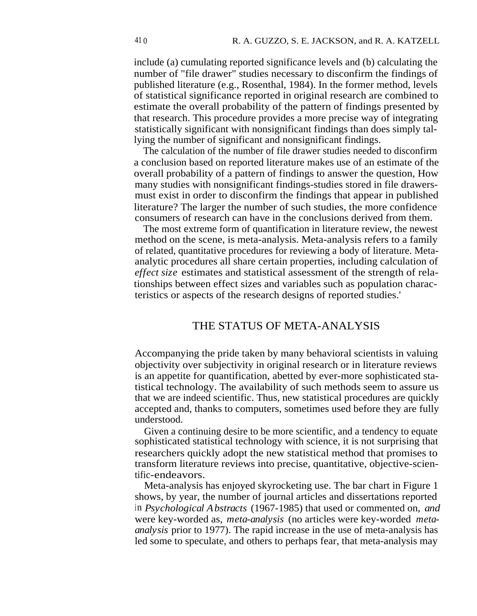include (a) cumulating reported significance levels and (b) calculating the number of "file drawer" studies necessary to disconfirm the findings of published literature (e.g., Rosenthal, 1984). In the former method, levels of statistical significance reported in original research are combined to estimate the overall probability of the pattern of findings presented by that research. This procedure provides a more precise way of integrating statistically significant with nonsignificant findings than does simply tallying the number of significant and nonsignificant findings.

The calculation of the number of file drawer studies needed to disconfirm a conclusion based on reported literature makes use of an estimate of the overall probability of a pattern of findings to answer the question, How many studies with nonsignificant findings-studies stored in file drawersmust exist in order to disconfirm the findings that appear in published literature? The larger the number of such studies, the more confidence consumers of research can have in the conclusions derived from them.

The most extreme form of quantification in literature review, the newest method on the scene, is meta-analysis. Meta-analysis refers to a family of related, quantitative procedures for reviewing a body of literature. Metaanalytic procedures all share certain properties, including calculation of *effect size* estimates and statistical assessment of the strength of relationships between effect sizes and variables such as population characteristics or aspects of the research designs of reported studies.'

## THE STATUS OF META-ANALYSIS

Accompanying the pride taken by many behavioral scientists in valuing objectivity over subjectivity in original research or in literature reviews is an appetite for quantification, abetted by ever-more sophisticated statistical technology. The availability of such methods seem to assure us that we are indeed scientific. Thus, new statistical procedures are quickly accepted and, thanks to computers, sometimes used before they are fully understood.

Given a continuing desire to be more scientific, and a tendency to equate sophisticated statistical technology with science, it is not surprising that researchers quickly adopt the new statistical method that promises to transform literature reviews into precise, quantitative, objective-scientific-endeavors.

Meta-analysis has enjoyed skyrocketing use. The bar chart in Figure 1 shows, by year, the number of journal articles and dissertations reported in *Psychological Abstracts* (1967-1985) that used or commented on, *and* were key-worded as, *meta-analysis* (no articles were key-worded *metaanalysis* prior to 1977). The rapid increase in the use of meta-analysis has led some to speculate, and others to perhaps fear, that meta-analysis may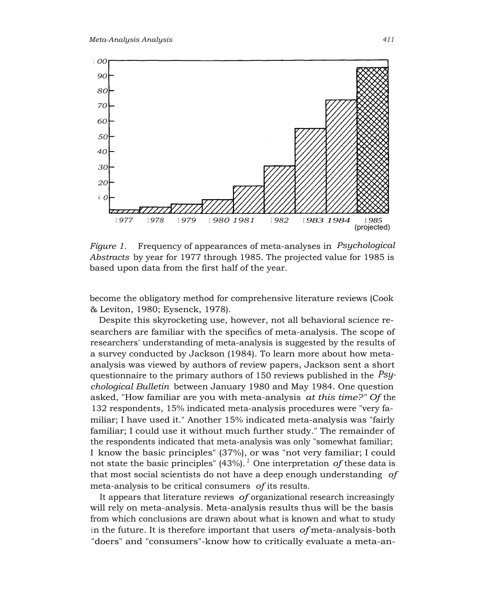

*Figure 1.* Frequency of appearances of meta-analyses in *Psychological Abstracts* by year for 1977 through 1985. The projected value for 1985 is based upon data from the first half of the year.

become the obligatory method for comprehensive literature reviews (Cook & Leviton, 1980; Eysenck, 1978).

Despite this skyrocketing use, however, not all behavioral science researchers are familiar with the specifics of meta-analysis. The scope of researchers' understanding of meta-analysis is suggested by the results of a survey conducted by Jackson (1984). To learn more about how metaanalysis was viewed by authors of review papers, Jackson sent a short questionnaire to the primary authors of 150 reviews published in the *Psychological Bulletin* between January 1980 and May 1984. One question asked, "How familiar are you with meta-analysis *at this time?" Of* the 132 respondents, 15% indicated meta-analysis procedures were "very familiar; I have used it." Another 15% indicated meta-analysis was "fairly familiar; I could use it without much further study." The remainder of the respondents indicated that meta-analysis was only "somewhat familiar; I know the basic principles" (37%), or was "not very familiar; I could not state the basic principles" (43%). <sup>2</sup> One interpretation *of* these data is that most social scientists do not have a deep enough understanding *of* meta-analysis to be critical consumers *of* its results.

It appears that literature reviews *of* organizational research increasingly will rely on meta-analysis. Meta-analysis results thus will be the basis from which conclusions are drawn about what is known and what to study in the future. It is therefore important that users *of* meta-analysis-both "doers" and "consumers"-know how to critically evaluate a meta-an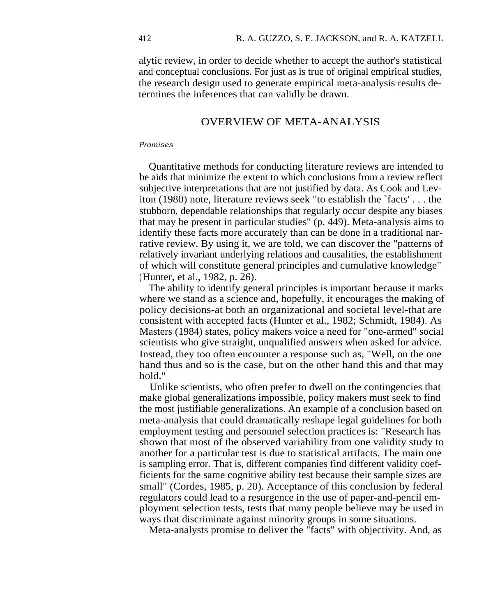alytic review, in order to decide whether to accept the author's statistical and conceptual conclusions. For just as is true of original empirical studies, the research design used to generate empirical meta-analysis results determines the inferences that can validly be drawn.

## OVERVIEW OF META-ANALYSIS

#### *Promises*

Quantitative methods for conducting literature reviews are intended to be aids that minimize the extent to which conclusions from a review reflect subjective interpretations that are not justified by data. As Cook and Leviton (1980) note, literature reviews seek "to establish the `facts' . . . the stubborn, dependable relationships that regularly occur despite any biases that may be present in particular studies" (p. 449). Meta-analysis aims to identify these facts more accurately than can be done in a traditional narrative review. By using it, we are told, we can discover the "patterns of relatively invariant underlying relations and causalities, the establishment of which will constitute general principles and cumulative knowledge" (Hunter, et al., 1982, p. 26).

The ability to identify general principles is important because it marks where we stand as a science and, hopefully, it encourages the making of policy decisions-at both an organizational and societal level-that are consistent with accepted facts (Hunter et al., 1982; Schmidt, 1984). As Masters (1984) states, policy makers voice a need for "one-armed" social scientists who give straight, unqualified answers when asked for advice. Instead, they too often encounter a response such as, "Well, on the one hand thus and so is the case, but on the other hand this and that may hold."

Unlike scientists, who often prefer to dwell on the contingencies that make global generalizations impossible, policy makers must seek to find the most justifiable generalizations. An example of a conclusion based on meta-analysis that could dramatically reshape legal guidelines for both employment testing and personnel selection practices is: "Research has shown that most of the observed variability from one validity study to another for a particular test is due to statistical artifacts. The main one is sampling error. That is, different companies find different validity coefficients for the same cognitive ability test because their sample sizes are small" (Cordes, 1985, p. 20). Acceptance of this conclusion by federal regulators could lead to a resurgence in the use of paper-and-pencil employment selection tests, tests that many people believe may be used in ways that discriminate against minority groups in some situations.

Meta-analysts promise to deliver the "facts" with objectivity. And, as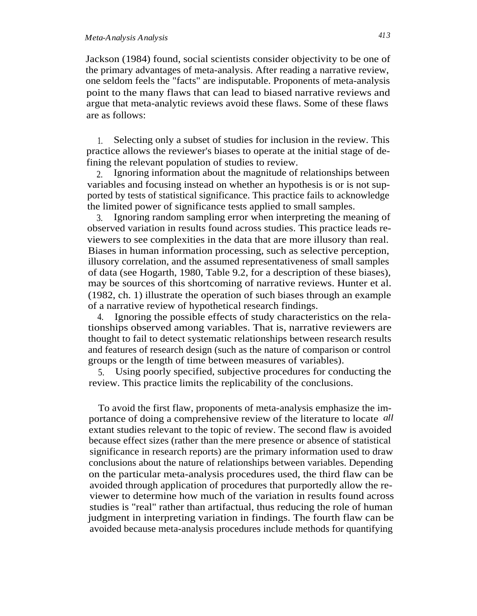Jackson (1984) found, social scientists consider objectivity to be one of the primary advantages of meta-analysis. After reading a narrative review, one seldom feels the "facts" are indisputable. Proponents of meta-analysis point to the many flaws that can lead to biased narrative reviews and argue that meta-analytic reviews avoid these flaws. Some of these flaws are as follows:

1. Selecting only a subset of studies for inclusion in the review. This practice allows the reviewer's biases to operate at the initial stage of defining the relevant population of studies to review.

2. Ignoring information about the magnitude of relationships between variables and focusing instead on whether an hypothesis is or is not supported by tests of statistical significance. This practice fails to acknowledge the limited power of significance tests applied to small samples.

3. Ignoring random sampling error when interpreting the meaning of observed variation in results found across studies. This practice leads reviewers to see complexities in the data that are more illusory than real. Biases in human information processing, such as selective perception, illusory correlation, and the assumed representativeness of small samples of data (see Hogarth, 1980, Table 9.2, for a description of these biases), may be sources of this shortcoming of narrative reviews. Hunter et al. (1982, ch. 1) illustrate the operation of such biases through an example of a narrative review of hypothetical research findings.

4. Ignoring the possible effects of study characteristics on the relationships observed among variables. That is, narrative reviewers are thought to fail to detect systematic relationships between research results and features of research design (such as the nature of comparison or control groups or the length of time between measures of variables).

5. Using poorly specified, subjective procedures for conducting the review. This practice limits the replicability of the conclusions.

To avoid the first flaw, proponents of meta-analysis emphasize the importance of doing a comprehensive review of the literature to locate *all* extant studies relevant to the topic of review. The second flaw is avoided because effect sizes (rather than the mere presence or absence of statistical significance in research reports) are the primary information used to draw conclusions about the nature of relationships between variables. Depending on the particular meta-analysis procedures used, the third flaw can be avoided through application of procedures that purportedly allow the reviewer to determine how much of the variation in results found across studies is "real" rather than artifactual, thus reducing the role of human judgment in interpreting variation in findings. The fourth flaw can be avoided because meta-analysis procedures include methods for quantifying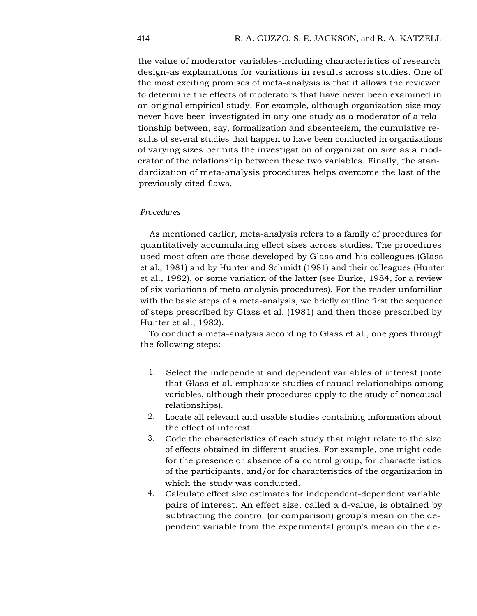the value of moderator variables-including characteristics of research design-as explanations for variations in results across studies. One of the most exciting promises of meta-analysis is that it allows the reviewer to determine the effects of moderators that have never been examined in an original empirical study. For example, although organization size may never have been investigated in any one study as a moderator of a relationship between, say, formalization and absenteeism, the cumulative results of several studies that happen to have been conducted in organizations of varying sizes permits the investigation of organization size as a moderator of the relationship between these two variables. Finally, the standardization of meta-analysis procedures helps overcome the last of the previously cited flaws.

#### *Procedures*

As mentioned earlier, meta-analysis refers to a family of procedures for quantitatively accumulating effect sizes across studies. The procedures used most often are those developed by Glass and his colleagues (Glass et al., 1981) and by Hunter and Schmidt (1981) and their colleagues (Hunter et al., 1982), or some variation of the latter (see Burke, 1984, for a review of six variations of meta-analysis procedures). For the reader unfamiliar with the basic steps of a meta-analysis, we briefly outline first the sequence of steps prescribed by Glass et al. (1981) and then those prescribed by Hunter et al., 1982).

To conduct a meta-analysis according to Glass et al., one goes through the following steps:

- 1. Select the independent and dependent variables of interest (note that Glass et al. emphasize studies of causal relationships among variables, although their procedures apply to the study of noncausal relationships).
- 2. Locate all relevant and usable studies containing information about the effect of interest.
- 3. Code the characteristics of each study that might relate to the size of effects obtained in different studies. For example, one might code for the presence or absence of a control group, for characteristics of the participants, and/or for characteristics of the organization in which the study was conducted.
- 4. Calculate effect size estimates for independent-dependent variable pairs of interest. An effect size, called a d-value, is obtained by subtracting the control (or comparison) group's mean on the dependent variable from the experimental group's mean on the de-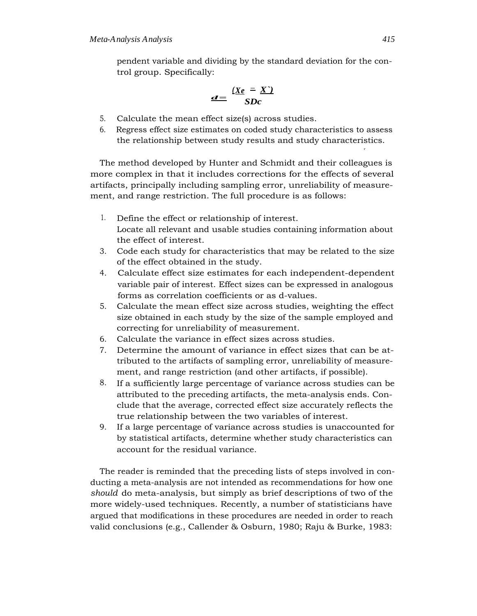pendent variable and dividing by the standard deviation for the control group. Specifically:

$$
d = \frac{(Xe - X')}{SDc}
$$

- 5. Calculate the mean effect size(s) across studies.
- 6. Regress effect size estimates on coded study characteristics to assess the relationship between study results and study characteristics.

The method developed by Hunter and Schmidt and their colleagues is more complex in that it includes corrections for the effects of several artifacts, principally including sampling error, unreliability of measurement, and range restriction. The full procedure is as follows:

- 1. Define the effect or relationship of interest. Locate all relevant and usable studies containing information about the effect of interest.
- 3. Code each study for characteristics that may be related to the size of the effect obtained in the study.
- 4. Calculate effect size estimates for each independent-dependent variable pair of interest. Effect sizes can be expressed in analogous forms as correlation coefficients or as d-values.
- 5. Calculate the mean effect size across studies, weighting the effect size obtained in each study by the size of the sample employed and correcting for unreliability of measurement.
- 6. Calculate the variance in effect sizes across studies.
- 7. Determine the amount of variance in effect sizes that can be attributed to the artifacts of sampling error, unreliability of measurement, and range restriction (and other artifacts, if possible).
- 8. If a sufficiently large percentage of variance across studies can be attributed to the preceding artifacts, the meta-analysis ends. Conclude that the average, corrected effect size accurately reflects the true relationship between the two variables of interest.
- 9. If a large percentage of variance across studies is unaccounted for by statistical artifacts, determine whether study characteristics can account for the residual variance.

The reader is reminded that the preceding lists of steps involved in conducting a meta-analysis are not intended as recommendations for how one *should* do meta-analysis, but simply as brief descriptions of two of the more widely-used techniques. Recently, a number of statisticians have argued that modifications in these procedures are needed in order to reach valid conclusions (e.g., Callender & Osburn, 1980; Raju & Burke, 1983:

r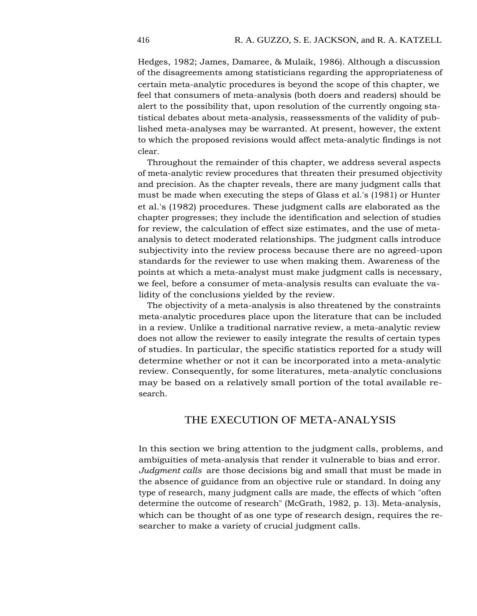Hedges, 1982; James, Damaree, & Mulaik, 1986). Although a discussion of the disagreements among statisticians regarding the appropriateness of certain meta-analytic procedures is beyond the scope of this chapter, we feel that consumers of meta-analysis (both doers and readers) should be alert to the possibility that, upon resolution of the currently ongoing statistical debates about meta-analysis, reassessments of the validity of published meta-analyses may be warranted. At present, however, the extent to which the proposed revisions would affect meta-analytic findings is not clear.

Throughout the remainder of this chapter, we address several aspects of meta-analytic review procedures that threaten their presumed objectivity and precision. As the chapter reveals, there are many judgment calls that must be made when executing the steps of Glass et al.'s (1981) or Hunter et al.'s (1982) procedures. These judgment calls are elaborated as the chapter progresses; they include the identification and selection of studies for review, the calculation of effect size estimates, and the use of metaanalysis to detect moderated relationships. The judgment calls introduce subjectivity into the review process because there are no agreed-upon standards for the reviewer to use when making them. Awareness of the points at which a meta-analyst must make judgment calls is necessary, we feel, before a consumer of meta-analysis results can evaluate the validity of the conclusions yielded by the review.

The objectivity of a meta-analysis is also threatened by the constraints meta-analytic procedures place upon the literature that can be included in a review. Unlike a traditional narrative review, a meta-analytic review does not allow the reviewer to easily integrate the results of certain types of studies. In particular, the specific statistics reported for a study will determine whether or not it can be incorporated into a meta-analytic review. Consequently, for some literatures, meta-analytic conclusions may be based on a relatively small portion of the total available research.

## THE EXECUTION OF META-ANALYSIS

In this section we bring attention to the judgment calls, problems, and ambiguities of meta-analysis that render it vulnerable to bias and error. *Judgment calls* are those decisions big and small that must be made in the absence of guidance from an objective rule or standard. In doing any type of research, many judgment calls are made, the effects of which "often determine the outcome of research" (McGrath, 1982, p. 13). Meta-analysis, which can be thought of as one type of research design, requires the researcher to make a variety of crucial judgment calls.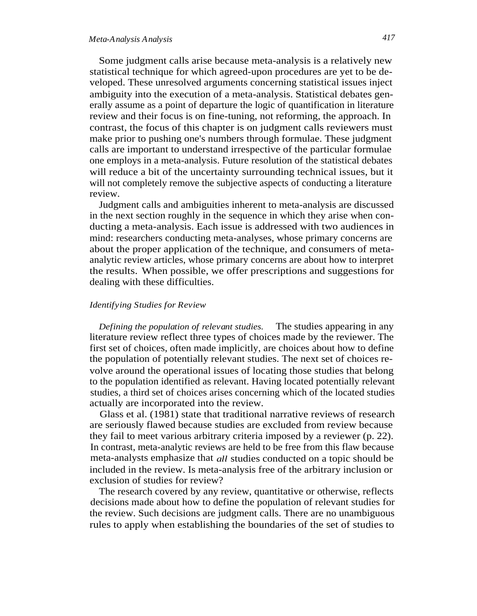Some judgment calls arise because meta-analysis is a relatively new statistical technique for which agreed-upon procedures are yet to be developed. These unresolved arguments concerning statistical issues inject ambiguity into the execution of a meta-analysis. Statistical debates generally assume as a point of departure the logic of quantification in literature review and their focus is on fine-tuning, not reforming, the approach. In contrast, the focus of this chapter is on judgment calls reviewers must make prior to pushing one's numbers through formulae. These judgment calls are important to understand irrespective of the particular formulae one employs in a meta-analysis. Future resolution of the statistical debates will reduce a bit of the uncertainty surrounding technical issues, but it will not completely remove the subjective aspects of conducting a literature review.

Judgment calls and ambiguities inherent to meta-analysis are discussed in the next section roughly in the sequence in which they arise when conducting a meta-analysis. Each issue is addressed with two audiences in mind: researchers conducting meta-analyses, whose primary concerns are about the proper application of the technique, and consumers of metaanalytic review articles, whose primary concerns are about how to interpret the results. When possible, we offer prescriptions and suggestions for dealing with these difficulties.

#### *Identifying Studies for Review*

*Defining the population of relevant studies.* The studies appearing in any literature review reflect three types of choices made by the reviewer. The first set of choices, often made implicitly, are choices about how to define the population of potentially relevant studies. The next set of choices revolve around the operational issues of locating those studies that belong to the population identified as relevant. Having located potentially relevant studies, a third set of choices arises concerning which of the located studies actually are incorporated into the review.

Glass et al. (1981) state that traditional narrative reviews of research are seriously flawed because studies are excluded from review because they fail to meet various arbitrary criteria imposed by a reviewer (p. 22). In contrast, meta-analytic reviews are held to be free from this flaw because meta-analysts emphasize that *all* studies conducted on a topic should be included in the review. Is meta-analysis free of the arbitrary inclusion or exclusion of studies for review?

The research covered by any review, quantitative or otherwise, reflects decisions made about how to define the population of relevant studies for the review. Such decisions are judgment calls. There are no unambiguous rules to apply when establishing the boundaries of the set of studies to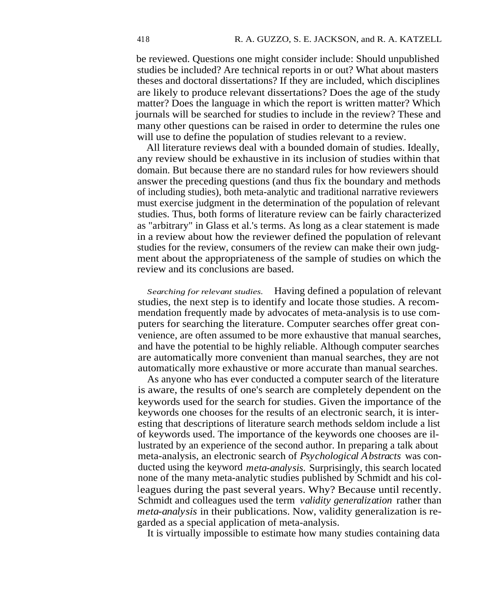be reviewed. Questions one might consider include: Should unpublished studies be included? Are technical reports in or out? What about masters theses and doctoral dissertations? If they are included, which disciplines are likely to produce relevant dissertations? Does the age of the study matter? Does the language in which the report is written matter? Which journals will be searched for studies to include in the review? These and many other questions can be raised in order to determine the rules one will use to define the population of studies relevant to a review.

All literature reviews deal with a bounded domain of studies. Ideally, any review should be exhaustive in its inclusion of studies within that domain. But because there are no standard rules for how reviewers should answer the preceding questions (and thus fix the boundary and methods of including studies), both meta-analytic and traditional narrative reviewers must exercise judgment in the determination of the population of relevant studies. Thus, both forms of literature review can be fairly characterized as "arbitrary" in Glass et al.'s terms. As long as a clear statement is made in a review about how the reviewer defined the population of relevant studies for the review, consumers of the review can make their own judgment about the appropriateness of the sample of studies on which the review and its conclusions are based.

*Searching for relevant studies.* Having defined a population of relevant studies, the next step is to identify and locate those studies. A recommendation frequently made by advocates of meta-analysis is to use computers for searching the literature. Computer searches offer great convenience, are often assumed to be more exhaustive that manual searches, and have the potential to be highly reliable. Although computer searches are automatically more convenient than manual searches, they are not automatically more exhaustive or more accurate than manual searches.

As anyone who has ever conducted a computer search of the literature is aware, the results of one's search are completely dependent on the keywords used for the search for studies. Given the importance of the keywords one chooses for the results of an electronic search, it is interesting that descriptions of literature search methods seldom include a list of keywords used. The importance of the keywords one chooses are illustrated by an experience of the second author. In preparing a talk about meta-analysis, an electronic search of *Psychological Abstracts* was conducted using the keyword *meta-analysis.* Surprisingly, this search located none of the many meta-analytic studies published by Schmidt and his colleagues during the past several years. Why? Because until recently. Schmidt and colleagues used the term *validity generalization* rather than *meta-analysis* in their publications. Now, validity generalization is regarded as a special application of meta-analysis.

It is virtually impossible to estimate how many studies containing data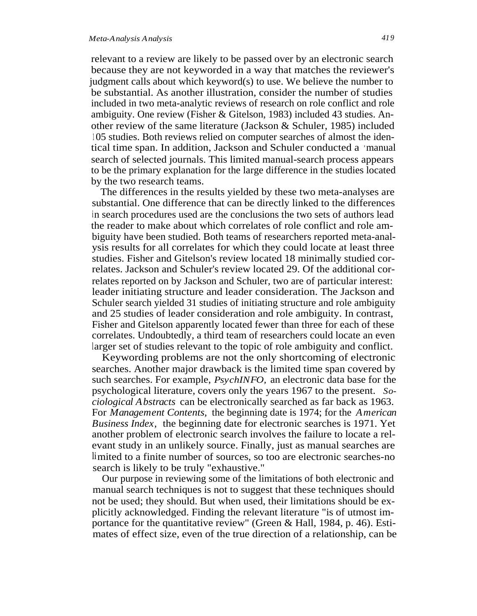relevant to a review are likely to be passed over by an electronic search because they are not keyworded in a way that matches the reviewer's judgment calls about which keyword(s) to use. We believe the number to be substantial. As another illustration, consider the number of studies included in two meta-analytic reviews of research on role conflict and role ambiguity. One review (Fisher & Gitelson, 1983) included 43 studies. Another review of the same literature (Jackson & Schuler, 1985) included <sup>1</sup> 05 studies. Both reviews relied on computer searches of almost the identical time span. In addition, Jackson and Schuler conducted a *'manual* search of selected journals. This limited manual-search process appears to be the primary explanation for the large difference in the studies located by the two research teams.

The differences in the results yielded by these two meta-analyses are substantial. One difference that can be directly linked to the differences in search procedures used are the conclusions the two sets of authors lead the reader to make about which correlates of role conflict and role ambiguity have been studied. Both teams of researchers reported meta-analysis results for all correlates for which they could locate at least three studies. Fisher and Gitelson's review located 18 minimally studied correlates. Jackson and Schuler's review located 29. Of the additional correlates reported on by Jackson and Schuler, two are of particular interest: leader initiating structure and leader consideration. The Jackson and Schuler search yielded 31 studies of initiating structure and role ambiguity and 25 studies of leader consideration and role ambiguity. In contrast, Fisher and Gitelson apparently located fewer than three for each of these correlates. Undoubtedly, a third team of researchers could locate an even larger set of studies relevant to the topic of role ambiguity and conflict.

Keywording problems are not the only shortcoming of electronic searches. Another major drawback is the limited time span covered by such searches. For example, *PsychINFO,* an electronic data base for the psychological literature, covers only the years 1967 to the present. *Sociological Abstracts* can be electronically searched as far back as 1963. For *Management Contents,* the beginning date is 1974; for the *American Business Index,* the beginning date for electronic searches is 1971. Yet another problem of electronic search involves the failure to locate a relevant study in an unlikely source. Finally, just as manual searches are limited to a finite number of sources, so too are electronic searches-no search is likely to be truly "exhaustive."

Our purpose in reviewing some of the limitations of both electronic and manual search techniques is not to suggest that these techniques should not be used; they should. But when used, their limitations should be explicitly acknowledged. Finding the relevant literature "is of utmost importance for the quantitative review" (Green & Hall, 1984, p. 46). Estimates of effect size, even of the true direction of a relationship, can be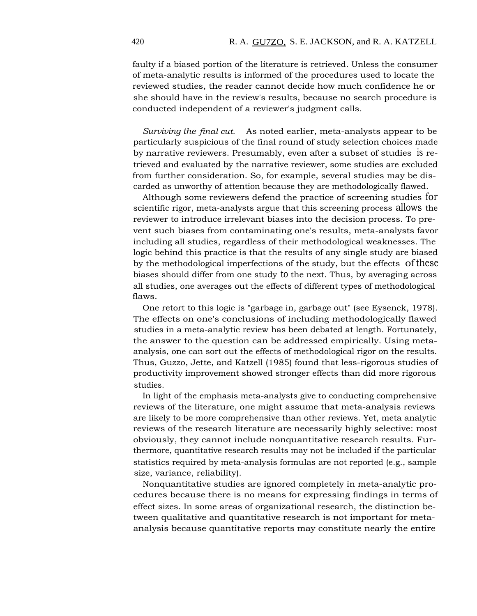faulty if a biased portion of the literature is retrieved. Unless the consumer of meta-analytic results is informed of the procedures used to locate the reviewed studies, the reader cannot decide how much confidence he or she should have in the review's results, because no search procedure is conducted independent of a reviewer's judgment calls.

*Surviving the final cut.* As noted earlier, meta-analysts appear to be particularly suspicious of the final round of study selection choices made by narrative reviewers. Presumably, even after a subset of studies is retrieved and evaluated by the narrative reviewer, some studies are excluded from further consideration. So, for example, several studies may be discarded as unworthy of attention because they are methodologically flawed.

Although some reviewers defend the practice of screening studies for scientific rigor, meta-analysts argue that this screening process allows the reviewer to introduce irrelevant biases into the decision process. To prevent such biases from contaminating one's results, meta-analysts favor including all studies, regardless of their methodological weaknesses. The logic behind this practice is that the results of any single study are biased by the methodological imperfections of the study, but the effects ofthese biases should differ from one study to the next. Thus, by averaging across all studies, one averages out the effects of different types of methodological flaws.

One retort to this logic is "garbage in, garbage out" (see Eysenck, 1978). The effects on one's conclusions of including methodologically flawed studies in a meta-analytic review has been debated at length. Fortunately, the answer to the question can be addressed empirically. Using metaanalysis, one can sort out the effects of methodological rigor on the results. Thus, Guzzo, Jette, and Katzell (1985) found that less-rigorous studies of productivity improvement showed stronger effects than did more rigorous studies.

In light of the emphasis meta-analysts give to conducting comprehensive reviews of the literature, one might assume that meta-analysis reviews are likely to be more comprehensive than other reviews. Yet, meta analytic reviews of the research literature are necessarily highly selective: most obviously, they cannot include nonquantitative research results. Furthermore, quantitative research results may not be included if the particular statistics required by meta-analysis formulas are not reported (e.g., sample size, variance, reliability).

Nonquantitative studies are ignored completely in meta-analytic procedures because there is no means for expressing findings in terms of effect sizes. In some areas of organizational research, the distinction between qualitative and quantitative research is not important for metaanalysis because quantitative reports may constitute nearly the entire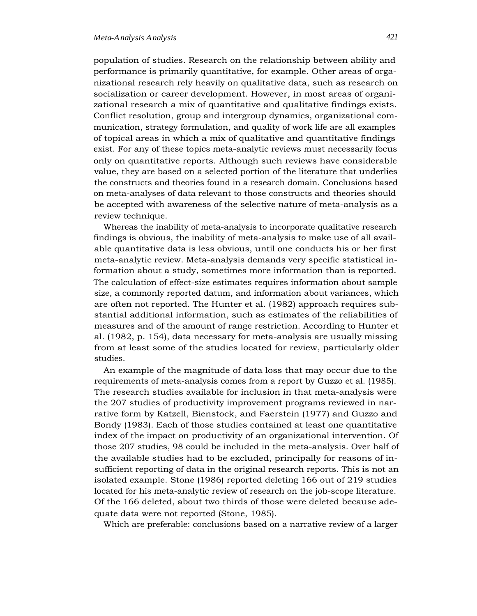#### *Meta-Analysis Analysis 421*

population of studies. Research on the relationship between ability and performance is primarily quantitative, for example. Other areas of organizational research rely heavily on qualitative data, such as research on socialization or career development. However, in most areas of organizational research a mix of quantitative and qualitative findings exists. Conflict resolution, group and intergroup dynamics, organizational communication, strategy formulation, and quality of work life are all examples of topical areas in which a mix of qualitative and quantitative findings exist. For any of these topics meta-analytic reviews must necessarily focus only on quantitative reports. Although such reviews have considerable value, they are based on a selected portion of the literature that underlies the constructs and theories found in a research domain. Conclusions based on meta-analyses of data relevant to those constructs and theories should be accepted with awareness of the selective nature of meta-analysis as a review technique.

Whereas the inability of meta-analysis to incorporate qualitative research findings is obvious, the inability of meta-analysis to make use of all available quantitative data is less obvious, until one conducts his or her first meta-analytic review. Meta-analysis demands very specific statistical information about a study, sometimes more information than is reported. The calculation of effect-size estimates requires information about sample size, a commonly reported datum, and information about variances, which are often not reported. The Hunter et al. (1982) approach requires substantial additional information, such as estimates of the reliabilities of measures and of the amount of range restriction. According to Hunter et al. (1982, p. 154), data necessary for meta-analysis are usually missing from at least some of the studies located for review, particularly older studies.

An example of the magnitude of data loss that may occur due to the requirements of meta-analysis comes from a report by Guzzo et al. (1985). The research studies available for inclusion in that meta-analysis were the 207 studies of productivity improvement programs reviewed in narrative form by Katzell, Bienstock, and Faerstein (1977) and Guzzo and Bondy (1983). Each of those studies contained at least one quantitative index of the impact on productivity of an organizational intervention. Of those 207 studies, 98 could be included in the meta-analysis. Over half of the available studies had to be excluded, principally for reasons of insufficient reporting of data in the original research reports. This is not an isolated example. Stone (1986) reported deleting 166 out of 219 studies located for his meta-analytic review of research on the job-scope literature. Of the 166 deleted, about two thirds of those were deleted because adequate data were not reported (Stone, 1985).

Which are preferable: conclusions based on a narrative review of a larger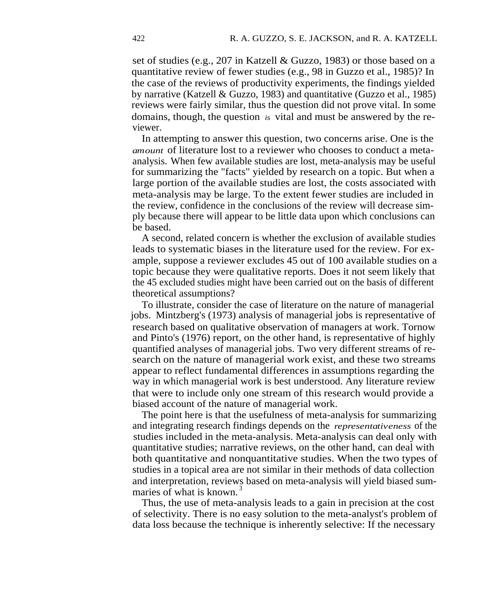set of studies (e.g., 207 in Katzell & Guzzo, 1983) or those based on a quantitative review of fewer studies (e.g., 98 in Guzzo et al., 1985)? In the case of the reviews of productivity experiments, the findings yielded by narrative (Katzell & Guzzo, 1983) and quantitative (Guzzo et al., 1985) reviews were fairly similar, thus the question did not prove vital. In some domains, though, the question *is* vital and must be answered by the reviewer.

In attempting to answer this question, two concerns arise. One is the *amount* of literature lost to a reviewer who chooses to conduct a metaanalysis. When few available studies are lost, meta-analysis may be useful for summarizing the "facts" yielded by research on a topic. But when a large portion of the available studies are lost, the costs associated with meta-analysis may be large. To the extent fewer studies are included in the review, confidence in the conclusions of the review will decrease simply because there will appear to be little data upon which conclusions can be based.

A second, related concern is whether the exclusion of available studies leads to systematic biases in the literature used for the review. For example, suppose a reviewer excludes 45 out of 100 available studies on a topic because they were qualitative reports. Does it not seem likely that the 45 excluded studies might have been carried out on the basis of different theoretical assumptions?

To illustrate, consider the case of literature on the nature of managerial jobs. Mintzberg's (1973) analysis of managerial jobs is representative of research based on qualitative observation of managers at work. Tornow and Pinto's (1976) report, on the other hand, is representative of highly quantified analyses of managerial jobs. Two very different streams of research on the nature of managerial work exist, and these two streams appear to reflect fundamental differences in assumptions regarding the way in which managerial work is best understood. Any literature review that were to include only one stream of this research would provide a biased account of the nature of managerial work.

The point here is that the usefulness of meta-analysis for summarizing and integrating research findings depends on the *representativeness* of the studies included in the meta-analysis. Meta-analysis can deal only with quantitative studies; narrative reviews, on the other hand, can deal with both quantitative and nonquantitative studies. When the two types of studies in a topical area are not similar in their methods of data collection and interpretation, reviews based on meta-analysis will yield biased summaries of what is known.<sup>3</sup>

Thus, the use of meta-analysis leads to a gain in precision at the cost of selectivity. There is no easy solution to the meta-analyst's problem of data loss because the technique is inherently selective: If the necessary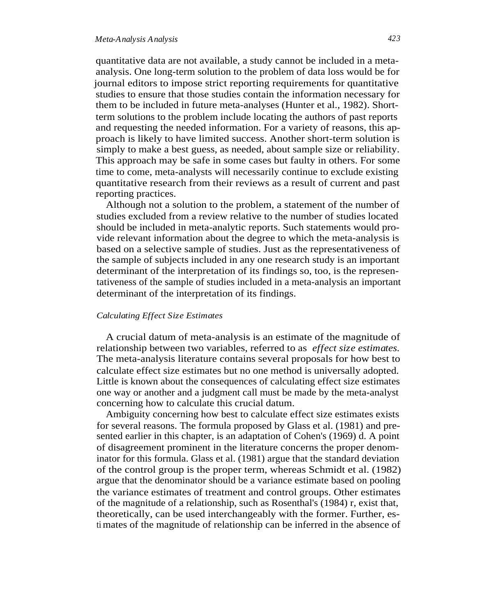### *Meta-Analysis Analysis 423*

quantitative data are not available, a study cannot be included in a metaanalysis. One long-term solution to the problem of data loss would be for journal editors to impose strict reporting requirements for quantitative studies to ensure that those studies contain the information necessary for them to be included in future meta-analyses (Hunter et al., 1982). Shortterm solutions to the problem include locating the authors of past reports and requesting the needed information. For a variety of reasons, this approach is likely to have limited success. Another short-term solution is simply to make a best guess, as needed, about sample size or reliability. This approach may be safe in some cases but faulty in others. For some time to come, meta-analysts will necessarily continue to exclude existing quantitative research from their reviews as a result of current and past reporting practices.

Although not a solution to the problem, a statement of the number of studies excluded from a review relative to the number of studies located should be included in meta-analytic reports. Such statements would provide relevant information about the degree to which the meta-analysis is based on a selective sample of studies. Just as the representativeness of the sample of subjects included in any one research study is an important determinant of the interpretation of its findings so, too, is the representativeness of the sample of studies included in a meta-analysis an important determinant of the interpretation of its findings.

#### *Calculating Effect Size Estimates*

A crucial datum of meta-analysis is an estimate of the magnitude of relationship between two variables, referred to as *effect size estimates.* The meta-analysis literature contains several proposals for how best to calculate effect size estimates but no one method is universally adopted. Little is known about the consequences of calculating effect size estimates one way or another and a judgment call must be made by the meta-analyst concerning how to calculate this crucial datum.

Ambiguity concerning how best to calculate effect size estimates exists for several reasons. The formula proposed by Glass et al. (1981) and presented earlier in this chapter, is an adaptation of Cohen's (1969) d. A point of disagreement prominent in the literature concerns the proper denominator for this formula. Glass et al. (1981) argue that the standard deviation of the control group is the proper term, whereas Schmidt et al. (1982) argue that the denominator should be a variance estimate based on pooling the variance estimates of treatment and control groups. Other estimates of the magnitude of a relationship, such as Rosenthal's (1984) r, exist that, theoretically, can be used interchangeably with the former. Further, esti mates of the magnitude of relationship can be inferred in the absence of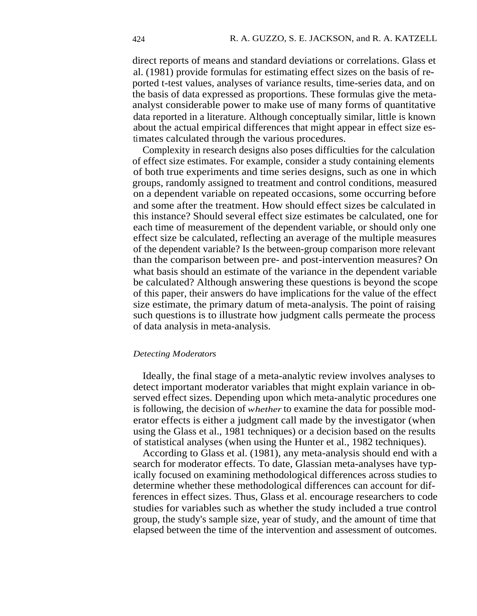direct reports of means and standard deviations or correlations. Glass et al. (1981) provide formulas for estimating effect sizes on the basis of reported t-test values, analyses of variance results, time-series data, and on the basis of data expressed as proportions. These formulas give the metaanalyst considerable power to make use of many forms of quantitative data reported in a literature. Although conceptually similar, little is known about the actual empirical differences that might appear in effect size estimates calculated through the various procedures.

Complexity in research designs also poses difficulties for the calculation of effect size estimates. For example, consider a study containing elements of both true experiments and time series designs, such as one in which groups, randomly assigned to treatment and control conditions, measured on a dependent variable on repeated occasions, some occurring before and some after the treatment. How should effect sizes be calculated in this instance? Should several effect size estimates be calculated, one for each time of measurement of the dependent variable, or should only one effect size be calculated, reflecting an average of the multiple measures of the dependent variable? Is the between-group comparison more relevant than the comparison between pre- and post-intervention measures? On what basis should an estimate of the variance in the dependent variable be calculated? Although answering these questions is beyond the scope of this paper, their answers do have implications for the value of the effect size estimate, the primary datum of meta-analysis. The point of raising such questions is to illustrate how judgment calls permeate the process of data analysis in meta-analysis.

#### *Detecting Moderators*

Ideally, the final stage of a meta-analytic review involves analyses to detect important moderator variables that might explain variance in observed effect sizes. Depending upon which meta-analytic procedures one is following, the decision of *whether* to examine the data for possible moderator effects is either a judgment call made by the investigator (when using the Glass et al., 1981 techniques) or a decision based on the results of statistical analyses (when using the Hunter et al., 1982 techniques).

According to Glass et al. (1981), any meta-analysis should end with a search for moderator effects. To date, Glassian meta-analyses have typically focused on examining methodological differences across studies to determine whether these methodological differences can account for differences in effect sizes. Thus, Glass et al. encourage researchers to code studies for variables such as whether the study included a true control group, the study's sample size, year of study, and the amount of time that elapsed between the time of the intervention and assessment of outcomes.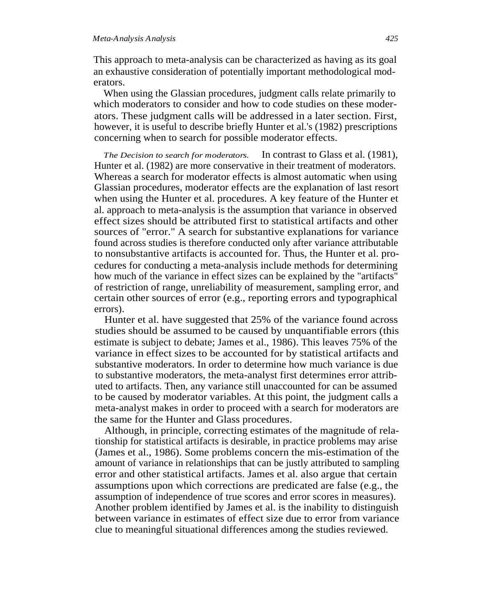This approach to meta-analysis can be characterized as having as its goal an exhaustive consideration of potentially important methodological moderators.

When using the Glassian procedures, judgment calls relate primarily to which moderators to consider and how to code studies on these moderators. These judgment calls will be addressed in a later section. First, however, it is useful to describe briefly Hunter et al.'s (1982) prescriptions concerning when to search for possible moderator effects.

*The Decision to search for moderators.* In contrast to Glass et al. (1981), Hunter et al. (1982) are more conservative in their treatment of moderators. Whereas a search for moderator effects is almost automatic when using Glassian procedures, moderator effects are the explanation of last resort when using the Hunter et al. procedures. A key feature of the Hunter et al. approach to meta-analysis is the assumption that variance in observed effect sizes should be attributed first to statistical artifacts and other sources of "error." A search for substantive explanations for variance found across studies is therefore conducted only after variance attributable to nonsubstantive artifacts is accounted for. Thus, the Hunter et al. procedures for conducting a meta-analysis include methods for determining how much of the variance in effect sizes can be explained by the "artifacts" of restriction of range, unreliability of measurement, sampling error, and certain other sources of error (e.g., reporting errors and typographical errors).

Hunter et al. have suggested that 25% of the variance found across studies should be assumed to be caused by unquantifiable errors (this estimate is subject to debate; James et al., 1986). This leaves 75% of the variance in effect sizes to be accounted for by statistical artifacts and substantive moderators. In order to determine how much variance is due to substantive moderators, the meta-analyst first determines error attributed to artifacts. Then, any variance still unaccounted for can be assumed to be caused by moderator variables. At this point, the judgment calls a meta-analyst makes in order to proceed with a search for moderators are the same for the Hunter and Glass procedures.

Although, in principle, correcting estimates of the magnitude of relationship for statistical artifacts is desirable, in practice problems may arise (James et al., 1986). Some problems concern the mis-estimation of the amount of variance in relationships that can be justly attributed to sampling error and other statistical artifacts. James et al. also argue that certain assumptions upon which corrections are predicated are false (e.g., the assumption of independence of true scores and error scores in measures). Another problem identified by James et al. is the inability to distinguish between variance in estimates of effect size due to error from variance clue to meaningful situational differences among the studies reviewed.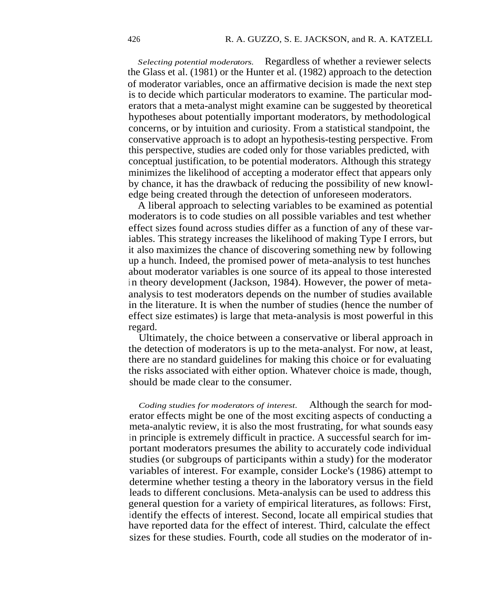*Selecting potential moderators.* Regardless of whether a reviewer selects the Glass et al. (1981) or the Hunter et al. (1982) approach to the detection of moderator variables, once an affirmative decision is made the next step is to decide which particular moderators to examine. The particular moderators that a meta-analyst might examine can be suggested by theoretical hypotheses about potentially important moderators, by methodological concerns, or by intuition and curiosity. From a statistical standpoint, the conservative approach is to adopt an hypothesis-testing perspective. From this perspective, studies are coded only for those variables predicted, with conceptual justification, to be potential moderators. Although this strategy minimizes the likelihood of accepting a moderator effect that appears only by chance, it has the drawback of reducing the possibility of new knowledge being created through the detection of unforeseen moderators.

A liberal approach to selecting variables to be examined as potential moderators is to code studies on all possible variables and test whether effect sizes found across studies differ as a function of any of these variables. This strategy increases the likelihood of making Type I errors, but it also maximizes the chance of discovering something new by following up a hunch. Indeed, the promised power of meta-analysis to test hunches about moderator variables is one source of its appeal to those interested in theory development (Jackson, 1984). However, the power of metaanalysis to test moderators depends on the number of studies available in the literature. It is when the number of studies (hence the number of effect size estimates) is large that meta-analysis is most powerful in this regard.

Ultimately, the choice between a conservative or liberal approach in the detection of moderators is up to the meta-analyst. For now, at least, there are no standard guidelines for making this choice or for evaluating the risks associated with either option. Whatever choice is made, though, should be made clear to the consumer.

*Coding studies for moderators of interest.* Although the search for moderator effects might be one of the most exciting aspects of conducting a meta-analytic review, it is also the most frustrating, for what sounds easy in principle is extremely difficult in practice. A successful search for important moderators presumes the ability to accurately code individual studies (or subgroups of participants within a study) for the moderator variables of interest. For example, consider Locke's (1986) attempt to determine whether testing a theory in the laboratory versus in the field leads to different conclusions. Meta-analysis can be used to address this general question for a variety of empirical literatures, as follows: First, identify the effects of interest. Second, locate all empirical studies that have reported data for the effect of interest. Third, calculate the effect sizes for these studies. Fourth, code all studies on the moderator of in-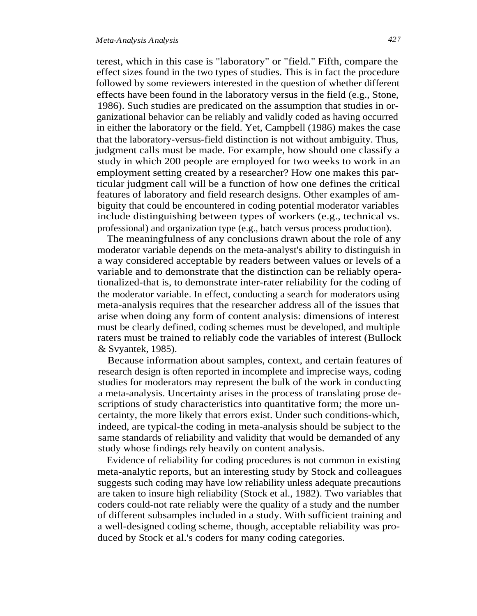terest, which in this case is "laboratory" or "field." Fifth, compare the effect sizes found in the two types of studies. This is in fact the procedure followed by some reviewers interested in the question of whether different effects have been found in the laboratory versus in the field (e.g., Stone, 1986). Such studies are predicated on the assumption that studies in organizational behavior can be reliably and validly coded as having occurred in either the laboratory or the field. Yet, Campbell (1986) makes the case that the laboratory-versus-field distinction is not without ambiguity. Thus, judgment calls must be made. For example, how should one classify a study in which 200 people are employed for two weeks to work in an employment setting created by a researcher? How one makes this particular judgment call will be a function of how one defines the critical features of laboratory and field research designs. Other examples of ambiguity that could be encountered in coding potential moderator variables include distinguishing between types of workers (e.g., technical vs. professional) and organization type (e.g., batch versus process production).

The meaningfulness of any conclusions drawn about the role of any moderator variable depends on the meta-analyst's ability to distinguish in a way considered acceptable by readers between values or levels of a variable and to demonstrate that the distinction can be reliably operationalized-that is, to demonstrate inter-rater reliability for the coding of the moderator variable. In effect, conducting a search for moderators using meta-analysis requires that the researcher address all of the issues that arise when doing any form of content analysis: dimensions of interest must be clearly defined, coding schemes must be developed, and multiple raters must be trained to reliably code the variables of interest (Bullock & Svyantek, 1985).

Because information about samples, context, and certain features of research design is often reported in incomplete and imprecise ways, coding studies for moderators may represent the bulk of the work in conducting a meta-analysis. Uncertainty arises in the process of translating prose descriptions of study characteristics into quantitative form; the more uncertainty, the more likely that errors exist. Under such conditions-which, indeed, are typical-the coding in meta-analysis should be subject to the same standards of reliability and validity that would be demanded of any study whose findings rely heavily on content analysis.

Evidence of reliability for coding procedures is not common in existing meta-analytic reports, but an interesting study by Stock and colleagues suggests such coding may have low reliability unless adequate precautions are taken to insure high reliability (Stock et al., 1982). Two variables that coders could-not rate reliably were the quality of a study and the number of different subsamples included in a study. With sufficient training and a well-designed coding scheme, though, acceptable reliability was produced by Stock et al.'s coders for many coding categories.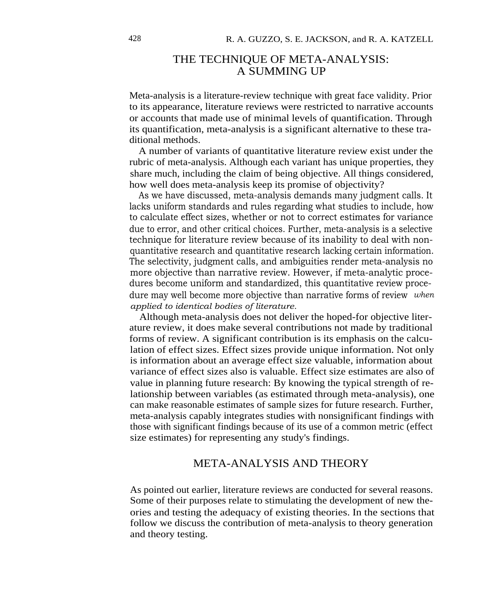## THE TECHNIQUE OF META-ANALYSIS: A SUMMING UP

Meta-analysis is a literature-review technique with great face validity. Prior to its appearance, literature reviews were restricted to narrative accounts or accounts that made use of minimal levels of quantification. Through its quantification, meta-analysis is a significant alternative to these traditional methods.

A number of variants of quantitative literature review exist under the rubric of meta-analysis. Although each variant has unique properties, they share much, including the claim of being objective. All things considered, how well does meta-analysis keep its promise of objectivity?

As we have discussed, meta-analysis demands many judgment calls. It lacks uniform standards and rules regarding what studies to include, how to calculate effect sizes, whether or not to correct estimates for variance due to error, and other critical choices. Further, meta-analysis is a selective technique for literature review because of its inability to deal with nonquantitative research and quantitative research lacking certain information. The selectivity, judgment calls, and ambiguities render meta-analysis no more objective than narrative review. However, if meta-analytic procedures become uniform and standardized, this quantitative review procedure may well become more objective than narrative forms of review *when applied to identical bodies of literature.*

Although meta-analysis does not deliver the hoped-for objective literature review, it does make several contributions not made by traditional forms of review. A significant contribution is its emphasis on the calculation of effect sizes. Effect sizes provide unique information. Not only is information about an average effect size valuable, information about variance of effect sizes also is valuable. Effect size estimates are also of value in planning future research: By knowing the typical strength of relationship between variables (as estimated through meta-analysis), one can make reasonable estimates of sample sizes for future research. Further, meta-analysis capably integrates studies with nonsignificant findings with those with significant findings because of its use of a common metric (effect size estimates) for representing any study's findings.

## META-ANALYSIS AND THEORY

As pointed out earlier, literature reviews are conducted for several reasons. Some of their purposes relate to stimulating the development of new theories and testing the adequacy of existing theories. In the sections that follow we discuss the contribution of meta-analysis to theory generation and theory testing.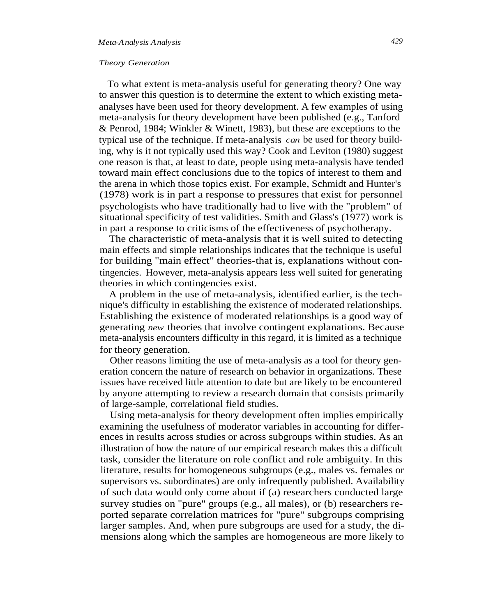#### *Theory Generation*

To what extent is meta-analysis useful for generating theory? One way to answer this question is to determine the extent to which existing metaanalyses have been used for theory development. A few examples of using meta-analysis for theory development have been published (e.g., Tanford & Penrod, 1984; Winkler & Winett, 1983), but these are exceptions to the typical use of the technique. If meta-analysis *can* be used for theory building, why is it not typically used this way? Cook and Leviton (1980) suggest one reason is that, at least to date, people using meta-analysis have tended toward main effect conclusions due to the topics of interest to them and the arena in which those topics exist. For example, Schmidt and Hunter's (1978) work is in part a response to pressures that exist for personnel psychologists who have traditionally had to live with the "problem" of situational specificity of test validities. Smith and Glass's (1977) work is in part a response to criticisms of the effectiveness of psychotherapy.

The characteristic of meta-analysis that it is well suited to detecting main effects and simple relationships indicates that the technique is useful for building "main effect" theories-that is, explanations without contingencies. However, meta-analysis appears less well suited for generating theories in which contingencies exist.

A problem in the use of meta-analysis, identified earlier, is the technique's difficulty in establishing the existence of moderated relationships. Establishing the existence of moderated relationships is a good way of generating *new* theories that involve contingent explanations. Because meta-analysis encounters difficulty in this regard, it is limited as a technique for theory generation.

Other reasons limiting the use of meta-analysis as a tool for theory generation concern the nature of research on behavior in organizations. These issues have received little attention to date but are likely to be encountered by anyone attempting to review a research domain that consists primarily of large-sample, correlational field studies.

Using meta-analysis for theory development often implies empirically examining the usefulness of moderator variables in accounting for differences in results across studies or across subgroups within studies. As an illustration of how the nature of our empirical research makes this a difficult task, consider the literature on role conflict and role ambiguity. In this literature, results for homogeneous subgroups (e.g., males vs. females or supervisors vs. subordinates) are only infrequently published. Availability of such data would only come about if (a) researchers conducted large survey studies on "pure" groups (e.g., all males), or (b) researchers reported separate correlation matrices for "pure" subgroups comprising larger samples. And, when pure subgroups are used for a study, the dimensions along which the samples are homogeneous are more likely to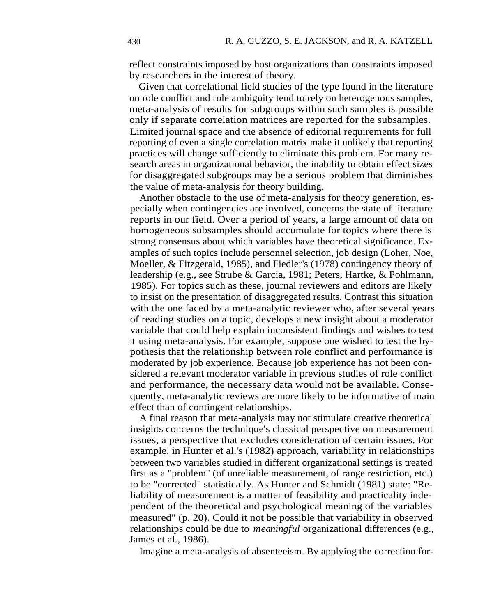reflect constraints imposed by host organizations than constraints imposed by researchers in the interest of theory.

Given that correlational field studies of the type found in the literature on role conflict and role ambiguity tend to rely on heterogenous samples, meta-analysis of results for subgroups within such samples is possible only if separate correlation matrices are reported for the subsamples. Limited journal space and the absence of editorial requirements for full reporting of even a single correlation matrix make it unlikely that reporting practices will change sufficiently to eliminate this problem. For many research areas in organizational behavior, the inability to obtain effect sizes for disaggregated subgroups may be a serious problem that diminishes the value of meta-analysis for theory building.

Another obstacle to the use of meta-analysis for theory generation, especially when contingencies are involved, concerns the state of literature reports in our field. Over a period of years, a large amount of data on homogeneous subsamples should accumulate for topics where there is strong consensus about which variables have theoretical significance. Examples of such topics include personnel selection, job design (Loher, Noe, Moeller, & Fitzgerald, 1985), and Fiedler's (1978) contingency theory of leadership (e.g., see Strube & Garcia, 1981; Peters, Hartke, & Pohlmann, 1985). For topics such as these, journal reviewers and editors are likely to insist on the presentation of disaggregated results. Contrast this situation with the one faced by a meta-analytic reviewer who, after several years of reading studies on a topic, develops a new insight about a moderator variable that could help explain inconsistent findings and wishes to test it using meta-analysis. For example, suppose one wished to test the hypothesis that the relationship between role conflict and performance is moderated by job experience. Because job experience has not been considered a relevant moderator variable in previous studies of role conflict and performance, the necessary data would not be available. Consequently, meta-analytic reviews are more likely to be informative of main effect than of contingent relationships.

A final reason that meta-analysis may not stimulate creative theoretical insights concerns the technique's classical perspective on measurement issues, a perspective that excludes consideration of certain issues. For example, in Hunter et al.'s (1982) approach, variability in relationships between two variables studied in different organizational settings is treated first as a "problem" (of unreliable measurement, of range restriction, etc.) to be "corrected" statistically. As Hunter and Schmidt (1981) state: "Reliability of measurement is a matter of feasibility and practicality independent of the theoretical and psychological meaning of the variables measured" (p. 20). Could it not be possible that variability in observed relationships could be due to *meaningful* organizational differences (e.g., James et al., 1986).

Imagine a meta-analysis of absenteeism. By applying the correction for-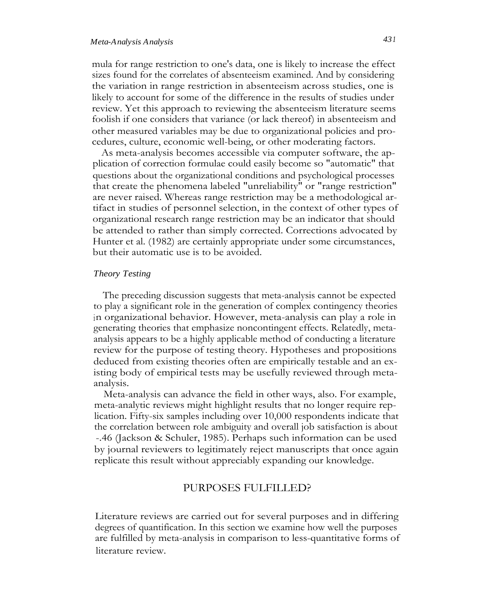## *Meta-Analysis Analysis 431*

mula for range restriction to one's data, one is likely to increase the effect sizes found for the correlates of absenteeism examined. And by considering the variation in range restriction in absenteeism across studies, one is likely to account for some of the difference in the results of studies under review. Yet this approach to reviewing the absenteeism literature seems foolish if one considers that variance (or lack thereof) in absenteeism and other measured variables may be due to organizational policies and procedures, culture, economic well-being, or other moderating factors.

As meta-analysis becomes accessible via computer software, the application of correction formulae could easily become so "automatic" that questions about the organizational conditions and psychological processes that create the phenomena labeled "unreliability" or "range restriction" are never raised. Whereas range restriction may be a methodological artifact in studies of personnel selection, in the context of other types of organizational research range restriction may be an indicator that should be attended to rather than simply corrected. Corrections advocated by Hunter et al. (1982) are certainly appropriate under some circumstances, but their automatic use is to be avoided.

#### *Theory Testing*

The preceding discussion suggests that meta-analysis cannot be expected to play a significant role in the generation of complex contingency theories in organizational behavior. However, meta-analysis can play a role in generating theories that emphasize noncontingent effects. Relatedly, metaanalysis appears to be a highly applicable method of conducting a literature review for the purpose of testing theory. Hypotheses and propositions deduced from existing theories often are empirically testable and an existing body of empirical tests may be usefully reviewed through metaanalysis.

Meta-analysis can advance the field in other ways, also. For example, meta-analytic reviews might highlight results that no longer require replication. Fifty-six samples including over 10,000 respondents indicate that the correlation between role ambiguity and overall job satisfaction is about -.46 (Jackson & Schuler, 1985). Perhaps such information can be used by journal reviewers to legitimately reject manuscripts that once again replicate this result without appreciably expanding our knowledge.

## PURPOSES FULFILLED?

Literature reviews are carried out for several purposes and in differing degrees of quantification. In this section we examine how well the purposes are fulfilled by meta-analysis in comparison to less-quantitative forms of literature review.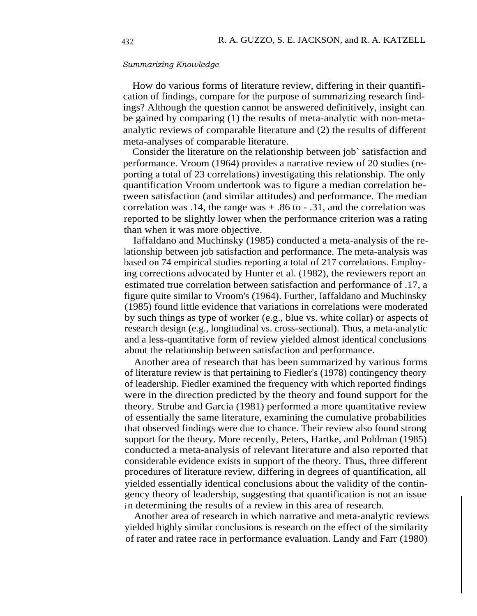#### *Summarizing Knowledge*

How do various forms of literature review, differing in their quantification of findings, compare for the purpose of summarizing research findings? Although the question cannot be answered definitively, insight can be gained by comparing (1) the results of meta-analytic with non-metaanalytic reviews of comparable literature and (2) the results of different meta-analyses of comparable literature.

Consider the literature on the relationship between job` satisfaction and performance. Vroom (1964) provides a narrative review of 20 studies (reporting a total of 23 correlations) investigating this relationship. The only quantification Vroom undertook was to figure a median correlation between satisfaction (and similar attitudes) and performance. The median correlation was .14, the range was  $+ .86$  to  $- .31$ , and the correlation was reported to be slightly lower when the performance criterion was a rating than when it was more objective.

Iaffaldano and Muchinsky (1985) conducted a meta-analysis of the relationship between job satisfaction and performance. The meta-analysis was based on 74 empirical studies reporting a total of 217 correlations. Employing corrections advocated by Hunter et al. (1982), the reviewers report an estimated true correlation between satisfaction and performance of .17, a figure quite similar to Vroom's (1964). Further, Iaffaldano and Muchinsky (1985) found little evidence that variations in correlations were moderated by such things as type of worker (e.g., blue vs. white collar) or aspects of research design (e.g., longitudinal vs. cross-sectional). Thus, a meta-analytic and a less-quantitative form of review yielded almost identical conclusions about the relationship between satisfaction and performance.

Another area of research that has been summarized by various forms of literature review is that pertaining to Fiedler's (1978) contingency theory of leadership. Fiedler examined the frequency with which reported findings were in the direction predicted by the theory and found support for the theory. Strube and Garcia (1981) performed a more quantitative review of essentially the same literature, examining the cumulative probabilities that observed findings were due to chance. Their review also found strong support for the theory. More recently, Peters, Hartke, and Pohlman (1985) conducted a meta-analysis of relevant literature and also reported that considerable evidence exists in support of the theory. Thus, three different procedures of literature review, differing in degrees of quantification, all yielded essentially identical conclusions about the validity of the contingency theory of leadership, suggesting that quantification is not an issue in determining the results of a review in this area of research.

Another area of research in which narrative and meta-analytic reviews yielded highly similar conclusions is research on the effect of the similarity of rater and ratee race in performance evaluation. Landy and Farr (1980)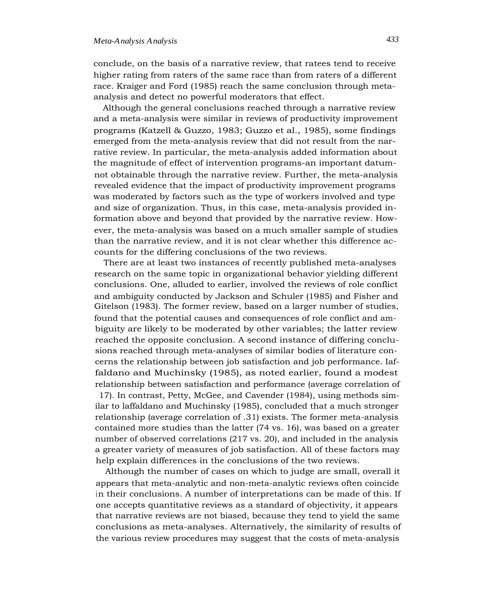conclude, on the basis of a narrative review, that ratees tend to receive higher rating from raters of the same race than from raters of a different race. Kraiger and Ford (1985) reach the same conclusion through metaanalysis and detect no powerful moderators that effect.

Although the general conclusions reached through a narrative review and a meta-analysis were similar in reviews of productivity improvement programs (Katzell & Guzzo, 1983; Guzzo et al., 1985), some findings emerged from the meta-analysis review that did not result from the narrative review. In particular, the meta-analysis added information about the magnitude of effect of intervention programs-an important datumnot obtainable through the narrative review. Further, the meta-analysis revealed evidence that the impact of productivity improvement programs was moderated by factors such as the type of workers involved and type and size of organization. Thus, in this case, meta-analysis provided information above and beyond that provided by the narrative review. However, the meta-analysis was based on a much smaller sample of studies than the narrative review, and it is not clear whether this difference accounts for the differing conclusions of the two reviews.

There are at least two instances of recently published meta-analyses research on the same topic in organizational behavior yielding different conclusions. One, alluded to earlier, involved the reviews of role conflict and ambiguity conducted by Jackson and Schuler (1985) and Fisher and Gitelson (1983). The former review, based on a larger number of studies, found that the potential causes and consequences of role conflict and ambiguity are likely to be moderated by other variables; the latter review reached the opposite conclusion. A second instance of differing conclusions reached through meta-analyses of similar bodies of literature concerns the relationship between job satisfaction and job performance. Iaffaldano and Muchinsky (1985), as noted earlier, found a modest relationship between satisfaction and performance (average correlation of

17). In contrast, Petty, McGee, and Cavender (1984), using methods similar to laffaldano and Muchinsky (1985), concluded that a much stronger relationship (average correlation of .31) exists. The former meta-analysis contained more studies than the latter (74 vs. 16), was based on a greater number of observed correlations (217 vs. 20), and included in the analysis a greater variety of measures of job satisfaction. All of these factors may help explain differences in the conclusions of the two reviews.

Although the number of cases on which to judge are small, overall it appears that meta-analytic and non-meta-analytic reviews often coincide in their conclusions. A number of interpretations can be made of this. If one accepts quantitative reviews as a standard of objectivity, it appears that narrative reviews are not biased, because they tend to yield the same conclusions as meta-analyses. Alternatively, the similarity of results of the various review procedures may suggest that the costs of meta-analysis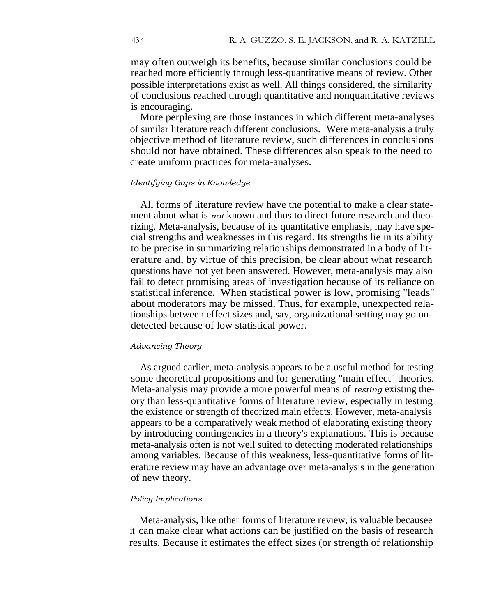may often outweigh its benefits, because similar conclusions could be reached more efficiently through less-quantitative means of review. Other possible interpretations exist as well. All things considered, the similarity of conclusions reached through quantitative and nonquantitative reviews is encouraging.

More perplexing are those instances in which different meta-analyses of similar literature reach different conclusions. Were meta-analysis a truly objective method of literature review, such differences in conclusions should not have obtained. These differences also speak to the need to create uniform practices for meta-analyses.

#### *Identifying Gaps in Knowledge*

All forms of literature review have the potential to make a clear statement about what is *not* known and thus to direct future research and theorizing. Meta-analysis, because of its quantitative emphasis, may have special strengths and weaknesses in this regard. Its strengths lie in its ability to be precise in summarizing relationships demonstrated in a body of literature and, by virtue of this precision, be clear about what research questions have not yet been answered. However, meta-analysis may also fail to detect promising areas of investigation because of its reliance on statistical inference. When statistical power is low, promising "leads" about moderators may be missed. Thus, for example, unexpected relationships between effect sizes and, say, organizational setting may go undetected because of low statistical power.

#### *Advancing Theory*

As argued earlier, meta-analysis appears to be a useful method for testing some theoretical propositions and for generating "main effect" theories. Meta-analysis may provide a more powerful means of *testing* existing theory than less-quantitative forms of literature review, especially in testing the existence or strength of theorized main effects. However, meta-analysis appears to be a comparatively weak method of elaborating existing theory by introducing contingencies in a theory's explanations. This is because meta-analysis often is not well suited to detecting moderated relationships among variables. Because of this weakness, less-quantitative forms of literature review may have an advantage over meta-analysis in the generation of new theory.

#### *Policy Implications*

Meta-analysis, like other forms of literature review, is valuable becausee it can make clear what actions can be justified on the basis of research results. Because it estimates the effect sizes (or strength of relationship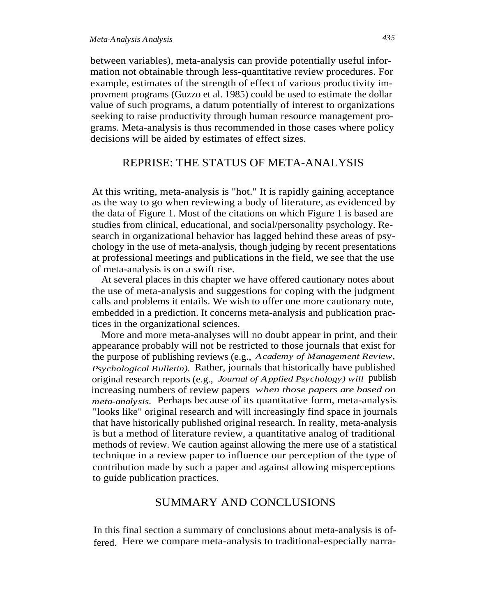between variables), meta-analysis can provide potentially useful information not obtainable through less-quantitative review procedures. For example, estimates of the strength of effect of various productivity improvment programs (Guzzo et al. 1985) could be used to estimate the dollar value of such programs, a datum potentially of interest to organizations seeking to raise productivity through human resource management programs. Meta-analysis is thus recommended in those cases where policy decisions will be aided by estimates of effect sizes.

## REPRISE: THE STATUS OF META-ANALYSIS

At this writing, meta-analysis is "hot." It is rapidly gaining acceptance as the way to go when reviewing a body of literature, as evidenced by the data of Figure 1. Most of the citations on which Figure 1 is based are studies from clinical, educational, and social/personality psychology. Research in organizational behavior has lagged behind these areas of psychology in the use of meta-analysis, though judging by recent presentations at professional meetings and publications in the field, we see that the use of meta-analysis is on a swift rise.

At several places in this chapter we have offered cautionary notes about the use of meta-analysis and suggestions for coping with the judgment calls and problems it entails. We wish to offer one more cautionary note, embedded in a prediction. It concerns meta-analysis and publication practices in the organizational sciences.

More and more meta-analyses will no doubt appear in print, and their appearance probably will not be restricted to those journals that exist for the purpose of publishing reviews (e.g., *Academy of Management Review, Psychological Bulletin).* Rather, journals that historically have published original research reports (e.g., *Journal of Applied Psychology) will* publish increasing numbers of review papers *when those papers are based on meta-analysis.* Perhaps because of its quantitative form, meta-analysis "looks like" original research and will increasingly find space in journals that have historically published original research. In reality, meta-analysis is but a method of literature review, a quantitative analog of traditional methods of review. We caution against allowing the mere use of a statistical technique in a review paper to influence our perception of the type of contribution made by such a paper and against allowing misperceptions to guide publication practices.

## SUMMARY AND CONCLUSIONS

In this final section a summary of conclusions about meta-analysis is offered. Here we compare meta-analysis to traditional-especially narra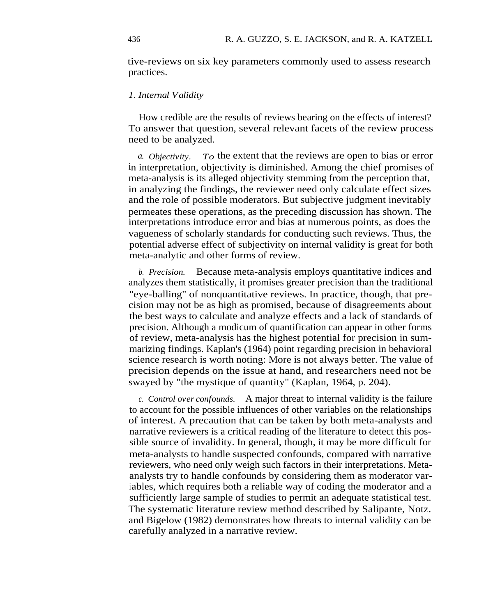tive-reviews on six key parameters commonly used to assess research practices.

#### *1. Internal Validity*

How credible are the results of reviews bearing on the effects of interest? To answer that question, several relevant facets of the review process need to be analyzed.

*a. Objectivity. To* the extent that the reviews are open to bias or error in interpretation, objectivity is diminished. Among the chief promises of meta-analysis is its alleged objectivity stemming from the perception that, in analyzing the findings, the reviewer need only calculate effect sizes and the role of possible moderators. But subjective judgment inevitably permeates these operations, as the preceding discussion has shown. The interpretations introduce error and bias at numerous points, as does the vagueness of scholarly standards for conducting such reviews. Thus, the potential adverse effect of subjectivity on internal validity is great for both meta-analytic and other forms of review.

*b. Precision.* Because meta-analysis employs quantitative indices and analyzes them statistically, it promises greater precision than the traditional "eye-balling" of nonquantitative reviews. In practice, though, that precision may not be as high as promised, because of disagreements about the best ways to calculate and analyze effects and a lack of standards of precision. Although a modicum of quantification can appear in other forms of review, meta-analysis has the highest potential for precision in summarizing findings. Kaplan's (1964) point regarding precision in behavioral science research is worth noting: More is not always better. The value of precision depends on the issue at hand, and researchers need not be swayed by "the mystique of quantity" (Kaplan, 1964, p. 204).

*c. Control over confounds.* A major threat to internal validity is the failure to account for the possible influences of other variables on the relationships of interest. A precaution that can be taken by both meta-analysts and narrative reviewers is a critical reading of the literature to detect this possible source of invalidity. In general, though, it may be more difficult for meta-analysts to handle suspected confounds, compared with narrative reviewers, who need only weigh such factors in their interpretations. Metaanalysts try to handle confounds by considering them as moderator variables, which requires both a reliable way of coding the moderator and a sufficiently large sample of studies to permit an adequate statistical test. The systematic literature review method described by Salipante, Notz. and Bigelow (1982) demonstrates how threats to internal validity can be carefully analyzed in a narrative review.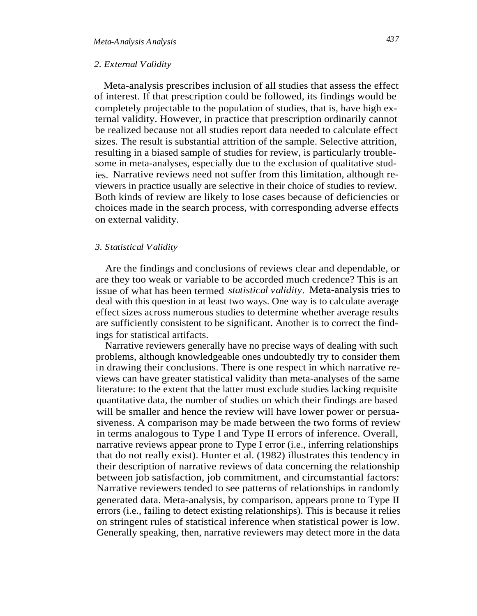#### *2. External Validity*

Meta-analysis prescribes inclusion of all studies that assess the effect of interest. If that prescription could be followed, its findings would be completely projectable to the population of studies, that is, have high external validity. However, in practice that prescription ordinarily cannot be realized because not all studies report data needed to calculate effect sizes. The result is substantial attrition of the sample. Selective attrition, resulting in a biased sample of studies for review, is particularly troublesome in meta-analyses, especially due to the exclusion of qualitative studies. Narrative reviews need not suffer from this limitation, although reviewers in practice usually are selective in their choice of studies to review. Both kinds of review are likely to lose cases because of deficiencies or choices made in the search process, with corresponding adverse effects on external validity.

#### *3. Statistical Validity*

Are the findings and conclusions of reviews clear and dependable, or are they too weak or variable to be accorded much credence? This is an issue of what has been termed *statistical validity.* Meta-analysis tries to deal with this question in at least two ways. One way is to calculate average effect sizes across numerous studies to determine whether average results are sufficiently consistent to be significant. Another is to correct the findings for statistical artifacts.

Narrative reviewers generally have no precise ways of dealing with such problems, although knowledgeable ones undoubtedly try to consider them in drawing their conclusions. There is one respect in which narrative reviews can have greater statistical validity than meta-analyses of the same literature: to the extent that the latter must exclude studies lacking requisite quantitative data, the number of studies on which their findings are based will be smaller and hence the review will have lower power or persuasiveness. A comparison may be made between the two forms of review in terms analogous to Type I and Type II errors of inference. Overall, narrative reviews appear prone to Type I error (i.e., inferring relationships that do not really exist). Hunter et al. (1982) illustrates this tendency in their description of narrative reviews of data concerning the relationship between job satisfaction, job commitment, and circumstantial factors: Narrative reviewers tended to see patterns of relationships in randomly generated data. Meta-analysis, by comparison, appears prone to Type II errors (i.e., failing to detect existing relationships). This is because it relies on stringent rules of statistical inference when statistical power is low. Generally speaking, then, narrative reviewers may detect more in the data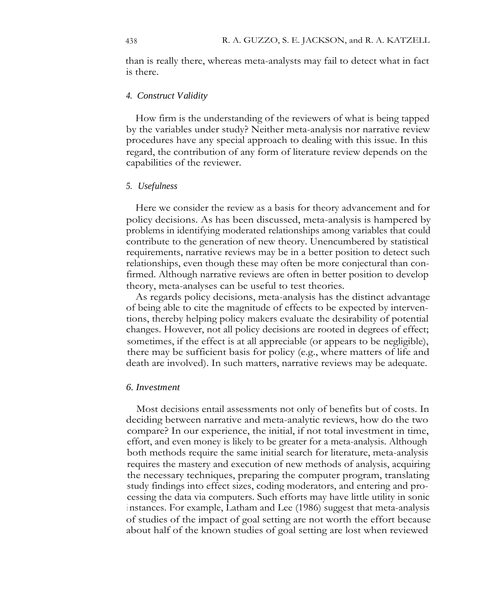than is really there, whereas meta-analysts may fail to detect what in fact is there.

#### *4. Construct Validity*

How firm is the understanding of the reviewers of what is being tapped by the variables under study? Neither meta-analysis nor narrative review procedures have any special approach to dealing with this issue. In this regard, the contribution of any form of literature review depends on the capabilities of the reviewer.

#### *5. Usefulness*

Here we consider the review as a basis for theory advancement and for policy decisions. As has been discussed, meta-analysis is hampered by problems in identifying moderated relationships among variables that could contribute to the generation of new theory. Unencumbered by statistical requirements, narrative reviews may be in a better position to detect such relationships, even though these may often be more conjectural than confirmed. Although narrative reviews are often in better position to develop theory, meta-analyses can be useful to test theories.

As regards policy decisions, meta-analysis has the distinct advantage of being able to cite the magnitude of effects to be expected by interventions, thereby helping policy makers evaluate the desirability of potential changes. However, not all policy decisions are rooted in degrees of effect; sometimes, if the effect is at all appreciable (or appears to be negligible), there may be sufficient basis for policy (e.g., where matters of life and death are involved). In such matters, narrative reviews may be adequate.

#### *6. Investment*

Most decisions entail assessments not only of benefits but of costs. In deciding between narrative and meta-analytic reviews, how do the two compare? In our experience, the initial, if not total investment in time, effort, and even money is likely to be greater for a meta-analysis. Although both methods require the same initial search for literature, meta-analysis requires the mastery and execution of new methods of analysis, acquiring the necessary techniques, preparing the computer program, translating study findings into effect sizes, coding moderators, and entering and processing the data via computers. Such efforts may have little utility in sonic instances. For example, Latham and Lee (1986) suggest that meta-analysis of studies of the impact of goal setting are not worth the effort because about half of the known studies of goal setting are lost when reviewed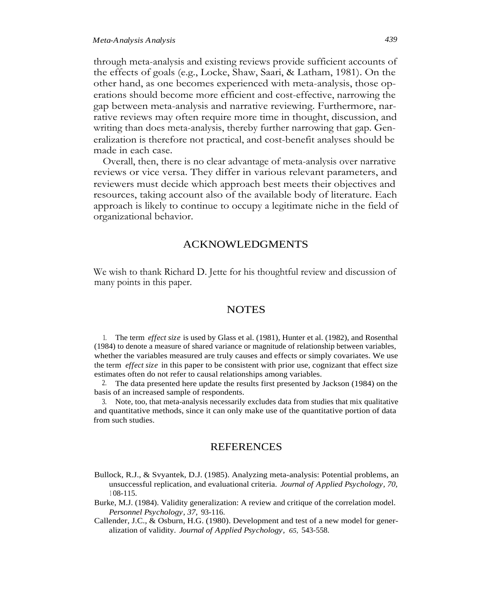through meta-analysis and existing reviews provide sufficient accounts of the effects of goals (e.g., Locke, Shaw, Saari, & Latham, 1981). On the other hand, as one becomes experienced with meta-analysis, those operations should become more efficient and cost-effective, narrowing the gap between meta-analysis and narrative reviewing. Furthermore, narrative reviews may often require more time in thought, discussion, and writing than does meta-analysis, thereby further narrowing that gap. Generalization is therefore not practical, and cost-benefit analyses should be made in each case.

Overall, then, there is no clear advantage of meta-analysis over narrative reviews or vice versa. They differ in various relevant parameters, and reviewers must decide which approach best meets their objectives and resources, taking account also of the available body of literature. Each approach is likely to continue to occupy a legitimate niche in the field of organizational behavior.

#### ACKNOWLEDGMENTS

We wish to thank Richard D. Jette for his thoughtful review and discussion of many points in this paper.

#### **NOTES**

1. The term *effect size* is used by Glass et al. (1981), Hunter et al. (1982), and Rosenthal (1984) to denote a measure of shared variance or magnitude of relationship between variables, whether the variables measured are truly causes and effects or simply covariates. We use the term *effect size* in this paper to be consistent with prior use, cognizant that effect size estimates often do not refer to causal relationships among variables.

2. The data presented here update the results first presented by Jackson (1984) on the basis of an increased sample of respondents.

3. Note, too, that meta-analysis necessarily excludes data from studies that mix qualitative and quantitative methods, since it can only make use of the quantitative portion of data from such studies.

### REFERENCES

- Bullock, R.J., & Svyantek, D.J. (1985). Analyzing meta-analysis: Potential problems, an unsuccessful replication, and evaluational criteria. *Journal of Applied Psychology, 70,* <sup>1</sup> 08-115.
- Burke, M.J. (1984). Validity generalization: A review and critique of the correlation model. *Personnel Psychology, 37,* 93-116.
- Callender, J.C., & Osburn, H.G. (1980). Development and test of a new model for generalization of validity. *Journal of Applied Psychology, 65,* 543-558.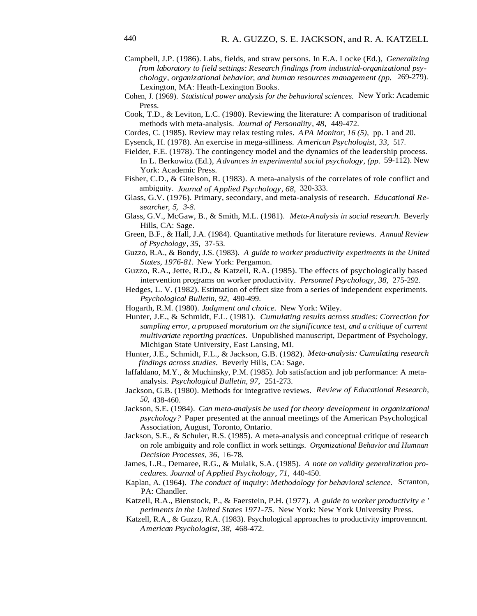- Campbell, J.P. (1986). Labs, fields, and straw persons. In E.A. Locke (Ed.), *Generalizing from laboratory to field settings: Research findings from industrial-organizational psychology, organizational behavior, and human resources management (pp.* 269-279). Lexington, MA: Heath-Lexington Books.
- Cohen, J. (1969). *Statistical power analysis for the behavioral sciences.* New York: Academic Press.
- Cook, T.D., & Leviton, L.C. (1980). Reviewing the literature: A comparison of traditional methods with meta-analysis. *Journal of Personality, 48,* 449-472.
- Cordes, C. (1985). Review may relax testing rules. *APA Monitor, 16 (5),* pp. 1 and 20.
- Eysenck, H. (1978). An exercise in mega-silliness. *American Psychologist, 33,* 517.
- Fielder, F.E. (1978). The contingency model and the dynamics of the leadership process. In L. Berkowitz (Ed.), *Advances in experimental social psychology, (pp.* 59-112). New York: Academic Press.
- Fisher, C.D., & Gitelson, R. (1983). A meta-analysis of the correlates of role conflict and ambiguity. *Journal of Applied Psychology, 68,* 320-333.
- Glass, G.V. (1976). Primary, secondary, and meta-analysis of research. *Educational Researcher, 5, 3-8.*
- Glass, G.V., McGaw, B., & Smith, M.L. (1981). *Meta-Analysis in social research.* Beverly Hills, CA: Sage.
- Green, B.F., & Hall, J.A. (1984). Quantitative methods for literature reviews. *Annual Review of Psychology, 35,* 37-53.
- Guzzo, R.A., & Bondy, J.S. (1983). *A guide to worker productivity experiments in the United States, 1976-81.* New York: Pergamon.
- Guzzo, R.A., Jette, R.D., & Katzell, R.A. (1985). The effects of psychologically based intervention programs on worker productivity. *Personnel Psychology, 38,* 275-292.
- Hedges, L. V. (1982). Estimation of effect size from a series of independent experiments. *Psychological Bulletin, 92,* 490-499.
- Hogarth, R.M. (1980). *Judgment and choice.* New York: Wiley.
- Hunter, J.E., & Schmidt, F.L. (1981). *Cumulating results across studies: Correction for sampling error, a proposed moratorium on the significance test, and a critique of current multivariate reporting practices.* Unpublished manuscript, Department of Psychology, Michigan State University, East Lansing, MI.
- Hunter, J.E., Schmidt, F.L., & Jackson, G.B. (1982). *Meta-analysis: Cumulating research findings across studies.* Beverly Hills, CA: Sage.
- laffaldano, M.Y., & Muchinsky, P.M. (1985). Job satisfaction and job performance: A metaanalysis. *Psychological Bulletin, 97,* 251-273.
- Jackson, G.B. (1980). Methods for integrative reviews. *Review of Educational Research, 50,* 438-460.
- Jackson, S.E. (1984). *Can meta-analysis be used for theory development in organizational psychology?* Paper presented at the annual meetings of the American Psychological Association, August, Toronto, Ontario.
- Jackson, S.E., & Schuler, R.S. (1985). A meta-analysis and conceptual critique of research on role ambiguity and role conflict in work settings. *Organizational Behavior and Humnan Decision Processes, 36, 16-78.*
- James, L.R., Demaree, R.G., & Mulaik, S.A. (1985). *A note on validity generalization procedures. Journal of Applied Psychology, 71,* 440-450.
- Kaplan, A. (1964). *The conduct of inquiry: Methodology for behavioral science.* Scranton, PA: Chandler.
- Katzell, R.A., Bienstock, P., & Faerstein, P.H. (1977). *A guide to worker productivity e ' periments in the United States 1971-75.* New York: New York University Press.
- Katzell, R.A., & Guzzo, R.A. (1983). Psychological approaches to productivity improvenncnt. *American Psychologist, 38,* 468-472.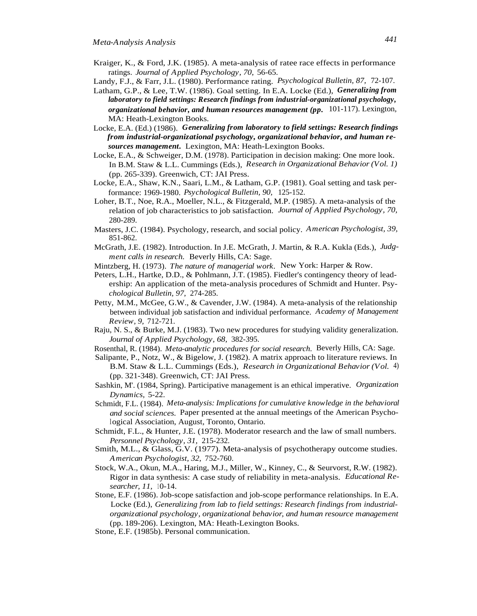- Kraiger, K., & Ford, J.K. (1985). A meta-analysis of ratee race effects in performance ratings. *Journal of Applied Psychology, 70,* 56-65.
- Landy, F.J., & Farr, J.L. (1980). Performance rating. *Psychological Bulletin, 87,* 72-107.
- Latham, G.P., & Lee, T.W. (1986). Goal setting. In E.A. Locke (Ed.), *Generalizing from laboratory to field settings: Research findings from industrial-organizational psychology, organizational behavior, and human resources management (pp.* 101-117). Lexington, MA: Heath-Lexington Books.
- Locke, E.A. (Ed.) (1986). *Generalizing from laboratory to field settings: Research findings from industrial-organizational psychology, organizational behavior, and human resources management.* Lexington, MA: Heath-Lexington Books.
- Locke, E.A., & Schweiger, D.M. (1978). Participation in decision making: One more look. In B.M. Staw & L.L. Cummings (Eds.), *Research in Organizational Behavior (Vol. 1)* (pp. 265-339). Greenwich, CT: JAI Press.
- Locke, E.A., Shaw, K.N., Saari, L.M., & Latham, G.P. (1981). Goal setting and task performance: 1969-1980. *Psychological Bulletin, 90,* 125-152.
- Loher, B.T., Noe, R.A., Moeller, N.L., & Fitzgerald, M.P. (1985). A meta-analysis of the relation of job characteristics to job satisfaction. *Journal of Applied Psychology, 70,* 280-289.
- Masters, J.C. (1984). Psychology, research, and social policy. *American Psychologist, 39,* 851-862.
- McGrath, J.E. (1982). Introduction. In J.E. McGrath, J. Martin, & R.A. Kukla (Eds.), *Judgment calls in research.* Beverly Hills, CA: Sage.
- Mintzberg, H. (1973). *The nature of managerial work.* New York: Harper & Row.
- Peters, L.H., Hartke, D.D., & Pohlmann, J.T. (1985). Fiedler's contingency theory of leadership: An application of the meta-analysis procedures of Schmidt and Hunter. Psy*chological Bulletin, 97,* 274-285.
- Petty, M.M., McGee, G.W., & Cavender, J.W. (1984). A meta-analysis of the relationship between individual job satisfaction and individual performance. *Academy of Management Review, 9,* 712-721.
- Raju, N. S., & Burke, M.J. (1983). Two new procedures for studying validity generalization. *Journal of Applied Psychology, 68,* 382-395.
- Rosenthal, R. (1984). *Meta-analytic procedures for social research.* Beverly Hills, CA: Sage.
- Salipante, P., Notz, W., & Bigelow, J. (1982). A matrix approach to literature reviews. In B.M. Staw & L.L. Cummings (Eds.), *Research in Organizational Behavior (Vol.* 4) (pp. 321-348). Greenwich, CT: JAI Press.
- Sashkin, M'. (1984, Spring). Participative management is an ethical imperative. *Organization Dynamics,* 5-22.
- Schmidt, F.L. (1984). *Meta-analysis: Implications for cumulative knowledge in the behavioral and social sciences.* Paper presented at the annual meetings of the American Psychological Association, August, Toronto, Ontario.
- Schmidt, F.L., & Hunter, J.E. (1978). Moderator research and the law of small numbers. *Personnel Psychology, 31,* 215-232.
- Smith, M.L., & Glass, G.V. (1977). Meta-analysis of psychotherapy outcome studies. *American Psychologist, 32,* 752-760.
- Stock, W.A., Okun, M.A., Haring, M.J., Miller, W., Kinney, C., & Seurvorst, R.W. (1982). Rigor in data synthesis: A case study of reliability in meta-analysis. *Educational Researcher, 11, 10-14.*
- Stone, E.F. (1986). Job-scope satisfaction and job-scope performance relationships. In E.A. Locke (Ed.), *Generalizing from lab to field settings: Research findings from industrialorganizational psychology, organizational behavior, and human resource management* (pp. 189-206). Lexington, MA: Heath-Lexington Books.
- Stone, E.F. (1985b). Personal communication.